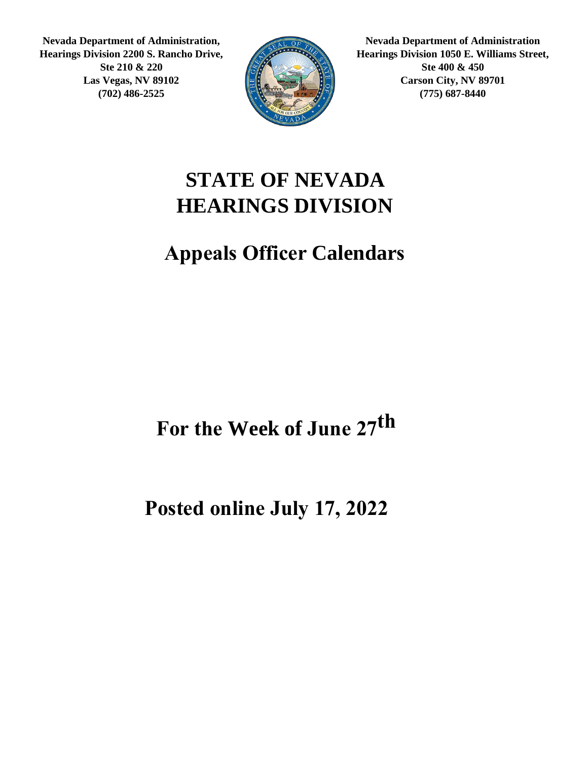**Nevada Department of Administration, Hearings Division 2200 S. Rancho Drive, Ste 210 & 220 Las Vegas, NV 89102 (702) 486-2525**



**Nevada Department of Administration Hearings Division 1050 E. Williams Street, Ste 400 & 450 Carson City, NV 89701 (775) 687-8440**

#### **STATE OF NEVADA HEARINGS DIVISION**

#### **Appeals Officer Calendars**

For the Week of June 27<sup>th</sup>

**Posted online July 17, 2022**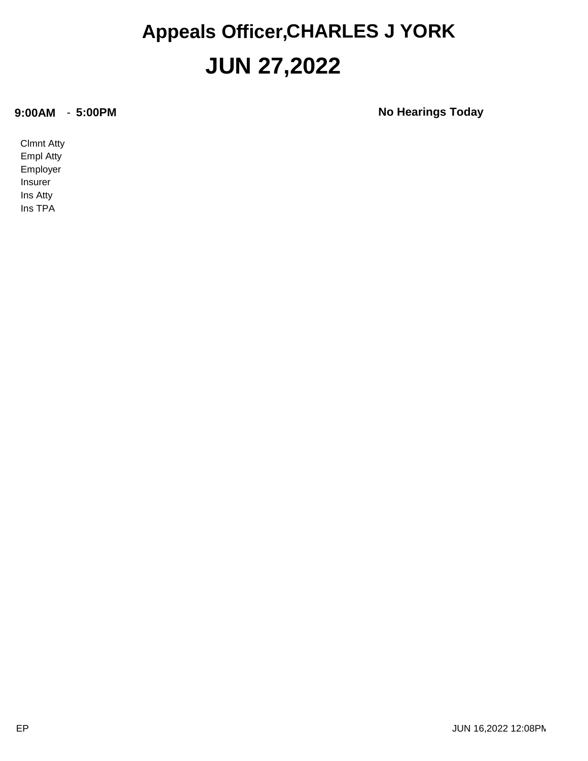#### **JUN 27,2022 Appeals Officer,CHARLES J YORK**

**9:00AM** - **5:00PM No Hearings Today**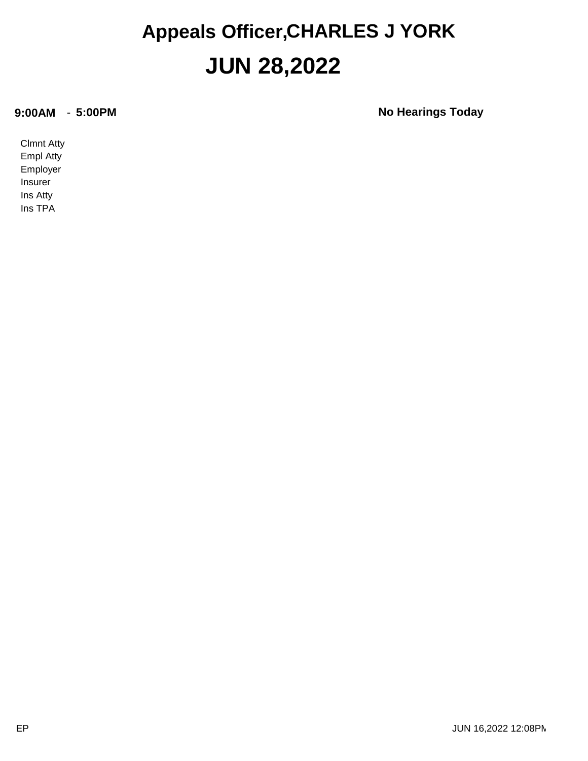#### **JUN 28,2022 Appeals Officer,CHARLES J YORK**

**9:00AM** - **5:00PM No Hearings Today**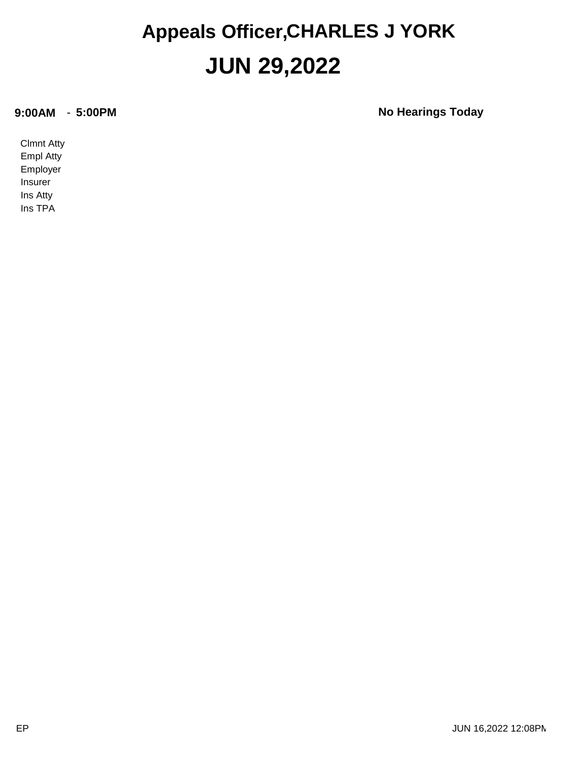#### **JUN 29,2022 Appeals Officer,CHARLES J YORK**

**9:00AM** - **5:00PM No Hearings Today**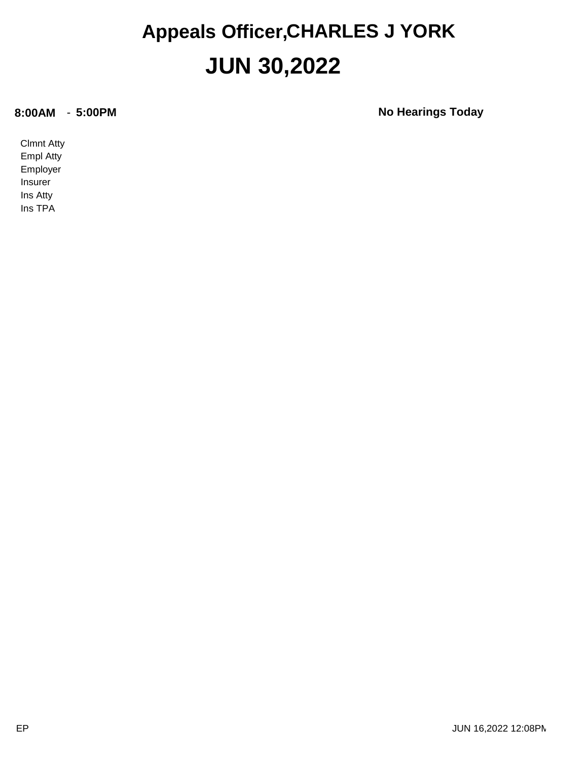#### **JUN 30,2022 Appeals Officer,CHARLES J YORK**

**8:00AM** - **5:00PM No Hearings Today**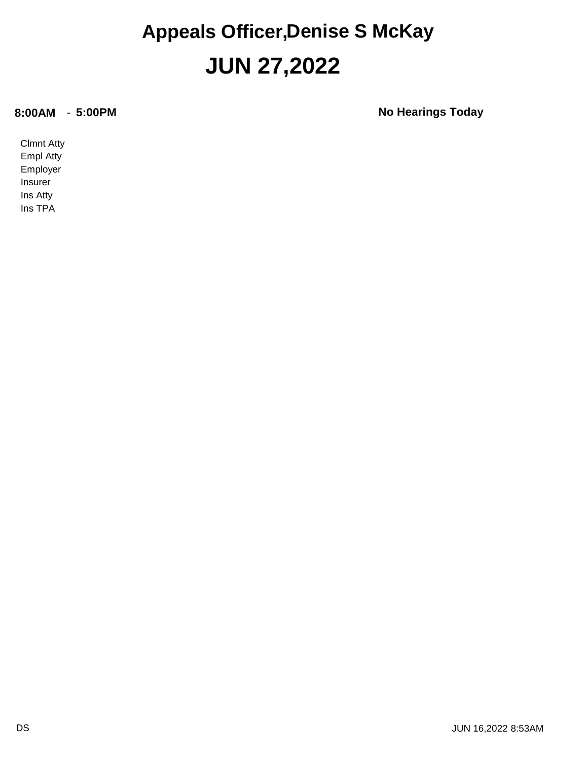#### **JUN 27,2022 Appeals Officer,Denise S McKay**

**8:00AM** - **5:00PM No Hearings Today**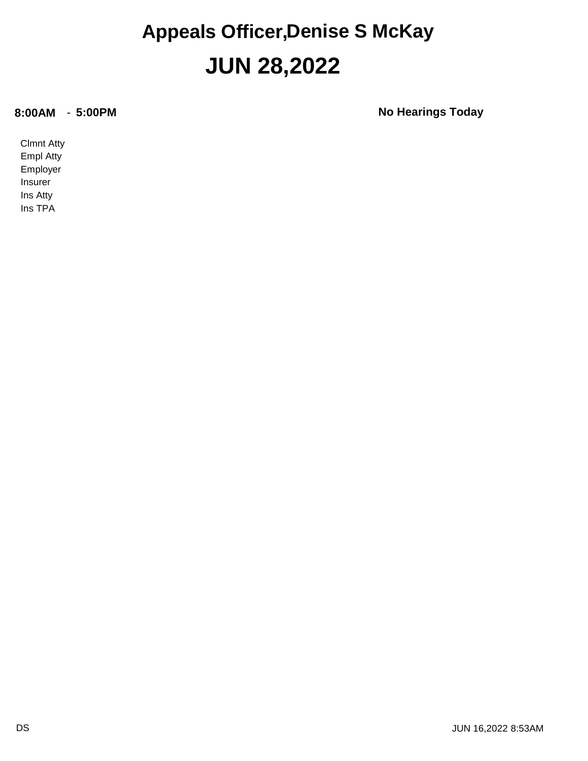#### **JUN 28,2022 Appeals Officer,Denise S McKay**

**8:00AM** - **5:00PM No Hearings Today**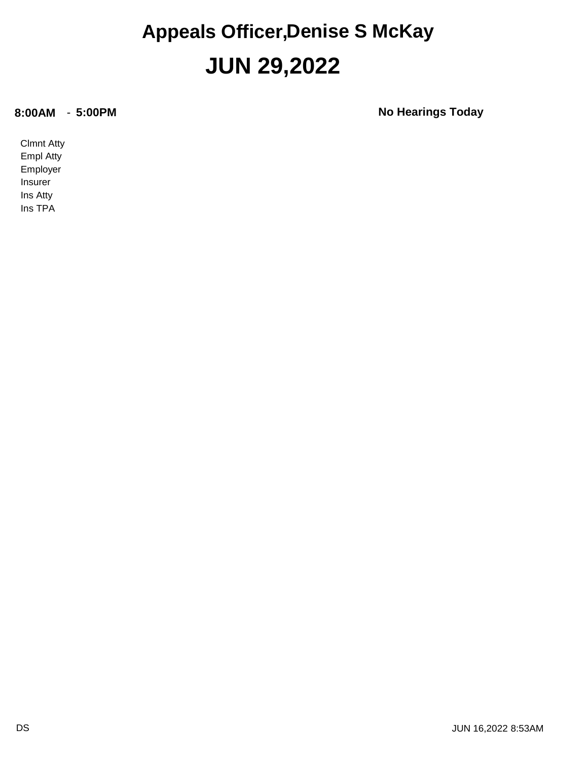#### **JUN 29,2022 Appeals Officer,Denise S McKay**

**8:00AM** - **5:00PM No Hearings Today**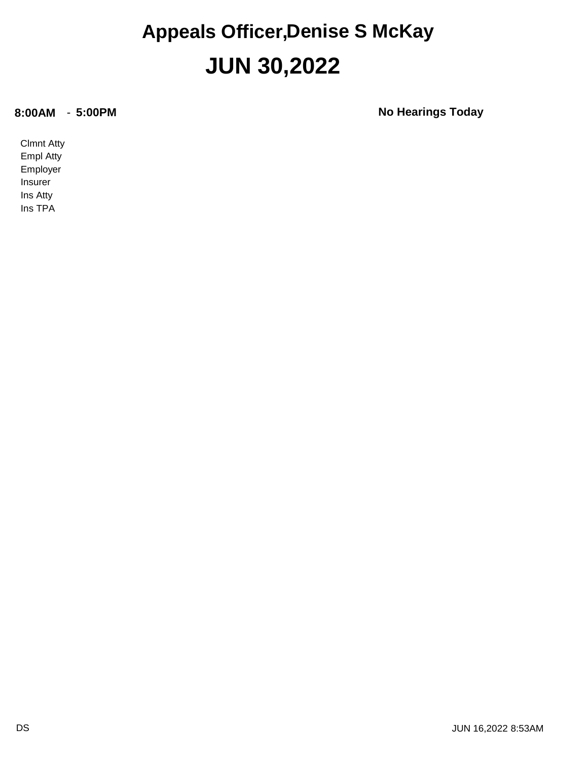#### **JUN 30,2022 Appeals Officer,Denise S McKay**

**8:00AM** - **5:00PM No Hearings Today**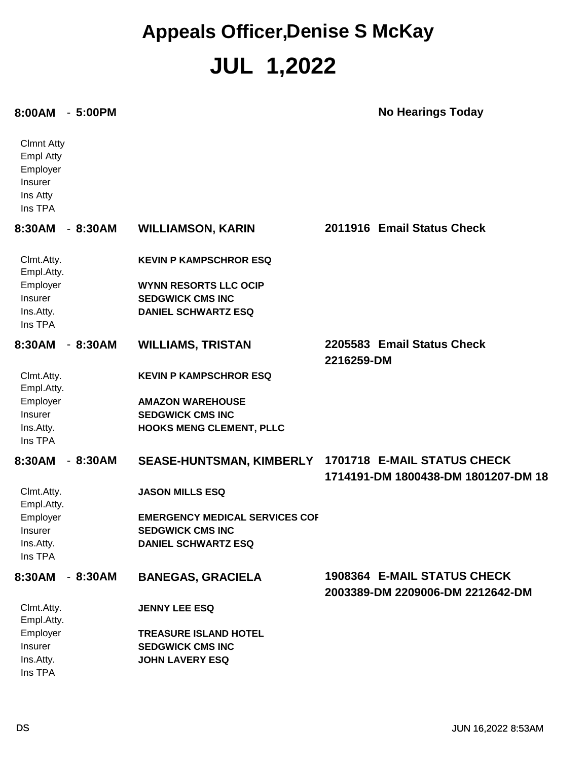#### **JUL 1,2022 Appeals Officer,Denise S McKay**

#### **8:00AM** - **5:00PM No Hearings Today**

| <b>Clmnt Atty</b><br><b>Empl Atty</b><br>Employer<br>Insurer<br>Ins Atty<br>Ins TPA |           |                                                                                                |                                                                    |
|-------------------------------------------------------------------------------------|-----------|------------------------------------------------------------------------------------------------|--------------------------------------------------------------------|
| 8:30AM                                                                              | $-8:30AM$ | <b>WILLIAMSON, KARIN</b>                                                                       | 2011916 Email Status Check                                         |
| Clmt.Atty.<br>Empl.Atty.<br>Employer<br>Insurer                                     |           | <b>KEVIN P KAMPSCHROR ESQ</b><br><b>WYNN RESORTS LLC OCIP</b><br><b>SEDGWICK CMS INC</b>       |                                                                    |
| Ins.Atty.<br>Ins TPA                                                                |           | <b>DANIEL SCHWARTZ ESQ</b>                                                                     |                                                                    |
| 8:30AM                                                                              | $-8:30AM$ | <b>WILLIAMS, TRISTAN</b>                                                                       | 2205583 Email Status Check<br>2216259-DM                           |
| Clmt.Atty.<br>Empl.Atty.                                                            |           | <b>KEVIN P KAMPSCHROR ESQ</b>                                                                  |                                                                    |
| Employer                                                                            |           | <b>AMAZON WAREHOUSE</b>                                                                        |                                                                    |
| Insurer<br>Ins.Atty.<br>Ins TPA                                                     |           | <b>SEDGWICK CMS INC</b><br><b>HOOKS MENG CLEMENT, PLLC</b>                                     |                                                                    |
| 8:30AM                                                                              | $-8:30AM$ | SEASE-HUNTSMAN, KIMBERLY                                                                       | 1701718 E-MAIL STATUS CHECK<br>1714191-DM 1800438-DM 1801207-DM 18 |
| Clmt.Atty.<br>Empl.Atty.                                                            |           | <b>JASON MILLS ESQ</b>                                                                         |                                                                    |
| Employer<br>Insurer<br>Ins.Atty.<br>Ins TPA                                         |           | <b>EMERGENCY MEDICAL SERVICES COF</b><br><b>SEDGWICK CMS INC</b><br><b>DANIEL SCHWARTZ ESQ</b> |                                                                    |
| 8:30AM - 8:30AM                                                                     |           | <b>BANEGAS, GRACIELA</b>                                                                       | 1908364 E-MAIL STATUS CHECK<br>2003389-DM 2209006-DM 2212642-DM    |
| Clmt.Atty.<br>Empl.Atty.                                                            |           | <b>JENNY LEE ESQ</b>                                                                           |                                                                    |
| Employer<br>Insurer<br>Ins.Atty.                                                    |           | <b>TREASURE ISLAND HOTEL</b><br><b>SEDGWICK CMS INC</b><br><b>JOHN LAVERY ESQ</b>              |                                                                    |
| Ins TPA                                                                             |           |                                                                                                |                                                                    |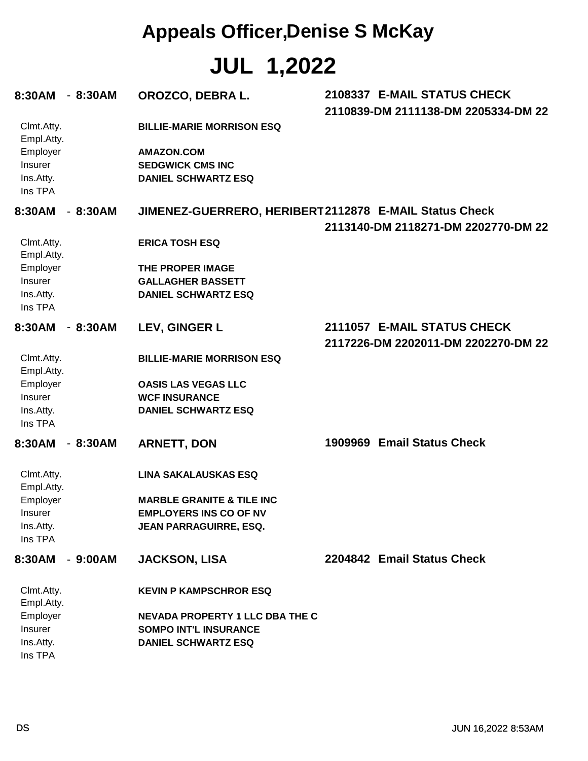#### **Appeals Officer,Denise S McKay**

**JUL 1,2022**

| 8:30AM - 8:30AM                                    |           | OROZCO, DEBRA L.                                                           | 2108337 E-MAIL STATUS CHECK<br>2110839-DM 2111138-DM 2205334-DM 22 |
|----------------------------------------------------|-----------|----------------------------------------------------------------------------|--------------------------------------------------------------------|
| Clmt.Atty.<br>Empl.Atty.                           |           | <b>BILLIE-MARIE MORRISON ESQ</b>                                           |                                                                    |
| Employer<br><b>Insurer</b><br>Ins.Atty.<br>Ins TPA |           | <b>AMAZON.COM</b><br><b>SEDGWICK CMS INC</b><br><b>DANIEL SCHWARTZ ESQ</b> |                                                                    |
| 8:30AM - 8:30AM                                    |           | JIMENEZ-GUERRERO, HERIBERT2112878 E-MAIL Status Check                      |                                                                    |
|                                                    |           |                                                                            | 2113140-DM 2118271-DM 2202770-DM 22                                |
| Clmt.Atty.<br>Empl.Atty.                           |           | <b>ERICA TOSH ESQ</b>                                                      |                                                                    |
| Employer                                           |           | THE PROPER IMAGE                                                           |                                                                    |
| Insurer                                            |           | <b>GALLAGHER BASSETT</b>                                                   |                                                                    |
| Ins.Atty.<br>Ins TPA                               |           | <b>DANIEL SCHWARTZ ESQ</b>                                                 |                                                                    |
| 8:30AM                                             | - 8:30AM  | LEV, GINGER L                                                              | 2111057 E-MAIL STATUS CHECK                                        |
|                                                    |           |                                                                            | 2117226-DM 2202011-DM 2202270-DM 22                                |
| Clmt.Atty.<br>Empl.Atty.                           |           | <b>BILLIE-MARIE MORRISON ESQ</b>                                           |                                                                    |
| Employer                                           |           | <b>OASIS LAS VEGAS LLC</b>                                                 |                                                                    |
| Insurer                                            |           | <b>WCF INSURANCE</b>                                                       |                                                                    |
| Ins.Atty.<br>Ins TPA                               |           | <b>DANIEL SCHWARTZ ESQ</b>                                                 |                                                                    |
| 8:30AM                                             | $-8:30AM$ | <b>ARNETT, DON</b>                                                         | 1909969 Email Status Check                                         |
| Clmt.Atty.<br>Empl.Atty.                           |           | <b>LINA SAKALAUSKAS ESQ</b>                                                |                                                                    |
| Employer                                           |           | <b>MARBLE GRANITE &amp; TILE INC</b>                                       |                                                                    |
| Insurer                                            |           | <b>EMPLOYERS INS CO OF NV</b>                                              |                                                                    |
| Ins.Atty.<br>Ins TPA                               |           | JEAN PARRAGUIRRE, ESQ.                                                     |                                                                    |
|                                                    |           |                                                                            |                                                                    |
| 8:30AM - 9:00AM                                    |           | <b>JACKSON, LISA</b>                                                       | 2204842 Email Status Check                                         |
| Clmt.Atty.<br>Empl.Atty.                           |           | <b>KEVIN P KAMPSCHROR ESQ</b>                                              |                                                                    |
| Employer                                           |           | <b>NEVADA PROPERTY 1 LLC DBA THE C</b>                                     |                                                                    |
| Insurer                                            |           | <b>SOMPO INT'L INSURANCE</b>                                               |                                                                    |
| Ins.Atty.<br>Ins TPA                               |           | <b>DANIEL SCHWARTZ ESQ</b>                                                 |                                                                    |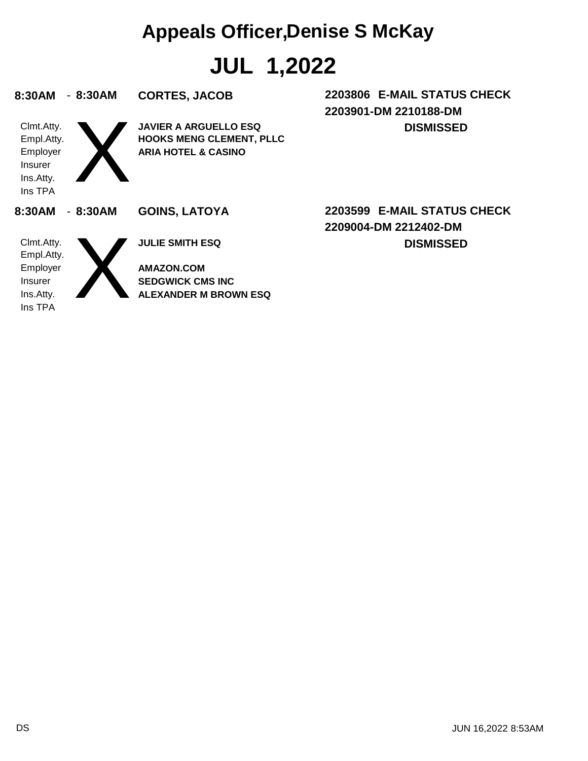#### **Appeals Officer,Denise S McKay**

**JUL 1,2022**

| 8:30AM                                                                  | $-8:30AM$ | <b>CORTES, JACOB</b>                                                                              | 2203806 E-MAIL STATUS CHECK<br>2203901-DM 2210188-DM |
|-------------------------------------------------------------------------|-----------|---------------------------------------------------------------------------------------------------|------------------------------------------------------|
| Clmt.Atty.<br>Empl.Atty.<br>Employer<br>Insurer<br>Ins.Atty.<br>Ins TPA |           | <b>JAVIER A ARGUELLO ESQ</b><br><b>HOOKS MENG CLEMENT, PLLC</b><br><b>ARIA HOTEL &amp; CASINO</b> | <b>DISMISSED</b>                                     |
| 8:30AM                                                                  | $-8:30AM$ | <b>GOINS, LATOYA</b>                                                                              | 2203599 E-MAIL STATUS CHECK<br>2209004-DM 2212402-DM |
| Clmt.Atty.<br>Empl.Atty.                                                |           | <b>JULIE SMITH ESQ</b>                                                                            | <b>DISMISSED</b>                                     |
| Employer                                                                |           | <b>AMAZON.COM</b>                                                                                 |                                                      |
| <b>Insurer</b><br>Ins.Atty.                                             |           | <b>SEDGWICK CMS INC</b><br><b>ALEXANDER M BROWN ESQ</b>                                           |                                                      |
| Ins TPA                                                                 |           |                                                                                                   |                                                      |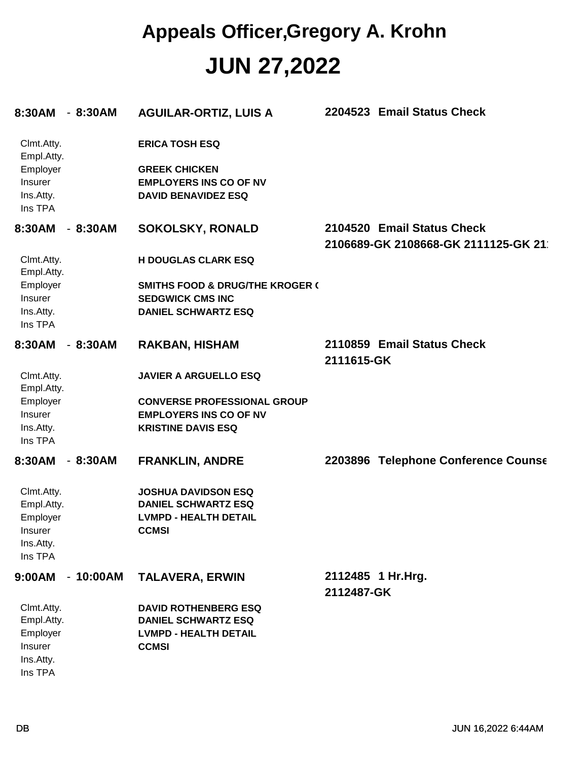#### **JUN 27,2022 Appeals Officer,Gregory A. Krohn**

| 8:30AM - 8:30AM                                                         |            | <b>AGUILAR-ORTIZ, LUIS A</b>                                                                                 | <b>Email Status Check</b><br>2204523                              |
|-------------------------------------------------------------------------|------------|--------------------------------------------------------------------------------------------------------------|-------------------------------------------------------------------|
| Clmt.Atty.<br>Empl.Atty.<br>Employer<br>Insurer<br>Ins.Atty.            |            | <b>ERICA TOSH ESQ</b><br><b>GREEK CHICKEN</b><br><b>EMPLOYERS INS CO OF NV</b><br><b>DAVID BENAVIDEZ ESQ</b> |                                                                   |
| Ins TPA                                                                 |            |                                                                                                              |                                                                   |
| 8:30AM<br>$\sim$                                                        | 8:30AM     | <b>SOKOLSKY, RONALD</b>                                                                                      | 2104520 Email Status Check<br>2106689-GK 2108668-GK 2111125-GK 21 |
| Clmt.Atty.<br>Empl.Atty.                                                |            | <b>H DOUGLAS CLARK ESQ</b>                                                                                   |                                                                   |
| Employer<br><b>Insurer</b><br>Ins.Atty.<br>Ins TPA                      |            | <b>SMITHS FOOD &amp; DRUG/THE KROGER (</b><br><b>SEDGWICK CMS INC</b><br><b>DANIEL SCHWARTZ ESQ</b>          |                                                                   |
| 8:30AM<br>$\overline{\phantom{a}}$                                      | 8:30AM     | <b>RAKBAN, HISHAM</b>                                                                                        | 2110859 Email Status Check<br>2111615-GK                          |
| Clmt.Atty.<br>Empl.Atty.                                                |            | <b>JAVIER A ARGUELLO ESQ</b>                                                                                 |                                                                   |
| Employer<br>Insurer<br>Ins.Atty.<br>Ins TPA                             |            | <b>CONVERSE PROFESSIONAL GROUP</b><br><b>EMPLOYERS INS CO OF NV</b><br><b>KRISTINE DAVIS ESQ</b>             |                                                                   |
| 8:30AM<br>$\blacksquare$                                                | 8:30AM     | <b>FRANKLIN, ANDRE</b>                                                                                       | 2203896 Telephone Conference Counse                               |
| Clmt.Atty.<br>Empl.Atty.<br>Employer<br>Insurer<br>Ins.Atty.<br>Ins TPA |            | <b>JOSHUA DAVIDSON ESQ</b><br><b>DANIEL SCHWARTZ ESQ</b><br><b>LVMPD - HEALTH DETAIL</b><br><b>CCMSI</b>     |                                                                   |
| 9:00AM                                                                  | $-10:00AM$ | <b>TALAVERA, ERWIN</b>                                                                                       | 2112485 1 Hr.Hrg.<br>2112487-GK                                   |
| Clmt.Atty.<br>Empl.Atty.<br>Employer<br>Insurer<br>Ins.Atty.<br>Ins TPA |            | <b>DAVID ROTHENBERG ESQ</b><br><b>DANIEL SCHWARTZ ESQ</b><br><b>LVMPD - HEALTH DETAIL</b><br><b>CCMSI</b>    |                                                                   |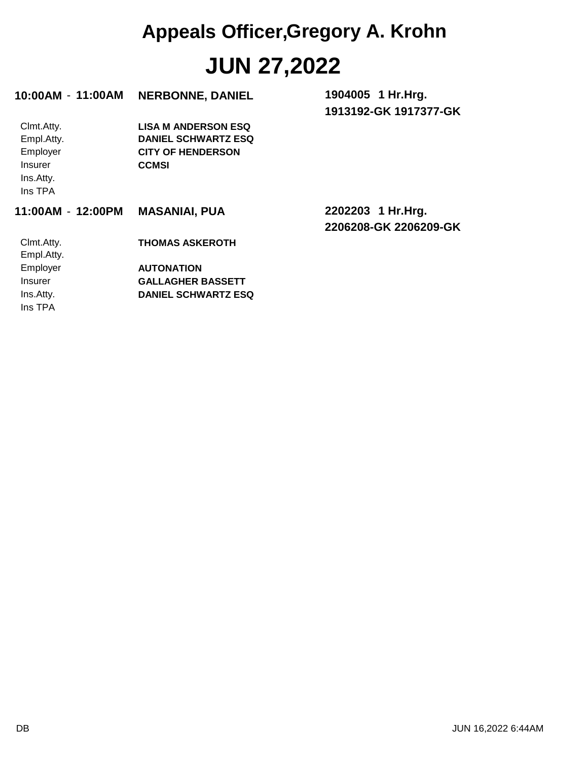### **JUN 27,2022 Appeals Officer,Gregory A. Krohn**

| 10:00AM - 11:00AM                                                              | <b>NERBONNE, DANIEL</b>                                                                              | 1904005 1 Hr. Hrg.<br>1913192-GK 1917377-GK |
|--------------------------------------------------------------------------------|------------------------------------------------------------------------------------------------------|---------------------------------------------|
| Clmt.Atty.<br>Empl.Atty.<br>Employer<br><b>Insurer</b><br>Ins.Atty.<br>Ins TPA | <b>LISA M ANDERSON ESQ</b><br><b>DANIEL SCHWARTZ ESQ</b><br><b>CITY OF HENDERSON</b><br><b>CCMSI</b> |                                             |
|                                                                                |                                                                                                      |                                             |
| 11:00AM - 12:00PM                                                              | <b>MASANIAI, PUA</b>                                                                                 | 2202203 1 Hr.Hrg.<br>2206208-GK 2206209-GK  |
| Clmt.Atty.<br>Empl.Atty.                                                       | <b>THOMAS ASKEROTH</b>                                                                               |                                             |
| Employer                                                                       | <b>AUTONATION</b>                                                                                    |                                             |
| <b>Insurer</b>                                                                 | <b>GALLAGHER BASSETT</b>                                                                             |                                             |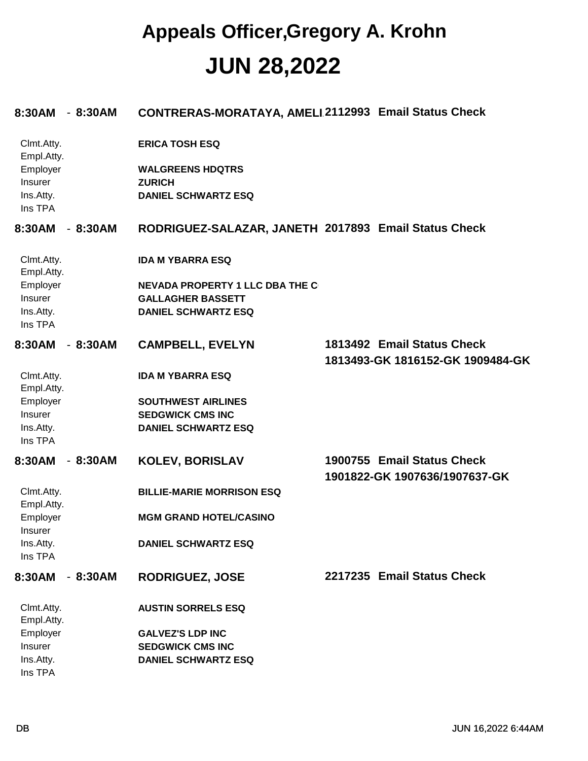#### **JUN 28,2022 Appeals Officer,Gregory A. Krohn**

| 8:30AM                     | $-8:30AM$ | CONTRERAS-MORATAYA, AMELI.2112993 Email Status Check |                                                             |
|----------------------------|-----------|------------------------------------------------------|-------------------------------------------------------------|
| Clmt.Atty.<br>Empl.Atty.   |           | <b>ERICA TOSH ESQ</b>                                |                                                             |
| Employer                   |           | <b>WALGREENS HDQTRS</b>                              |                                                             |
| Insurer                    |           | <b>ZURICH</b>                                        |                                                             |
| Ins.Atty.<br>Ins TPA       |           | <b>DANIEL SCHWARTZ ESQ</b>                           |                                                             |
| 8:30AM                     | $-8:30AM$ | RODRIGUEZ-SALAZAR, JANETH 2017893 Email Status Check |                                                             |
| Clmt.Atty.<br>Empl.Atty.   |           | <b>IDA M YBARRA ESQ</b>                              |                                                             |
| Employer                   |           | <b>NEVADA PROPERTY 1 LLC DBA THE C</b>               |                                                             |
| Insurer                    |           | <b>GALLAGHER BASSETT</b>                             |                                                             |
| Ins.Atty.<br>Ins TPA       |           | <b>DANIEL SCHWARTZ ESQ</b>                           |                                                             |
| 8:30AM                     | $-8:30AM$ | <b>CAMPBELL, EVELYN</b>                              | 1813492 Email Status Check                                  |
|                            |           |                                                      | 1813493-GK 1816152-GK 1909484-GK                            |
| Clmt.Atty.                 |           | <b>IDA M YBARRA ESQ</b>                              |                                                             |
| Empl.Atty.                 |           |                                                      |                                                             |
| Employer                   |           | <b>SOUTHWEST AIRLINES</b>                            |                                                             |
| Insurer                    |           | <b>SEDGWICK CMS INC</b>                              |                                                             |
| Ins.Atty.<br>Ins TPA       |           | <b>DANIEL SCHWARTZ ESQ</b>                           |                                                             |
| 8:30AM                     | $-8:30AM$ | <b>KOLEV, BORISLAV</b>                               | 1900755 Email Status Check<br>1901822-GK 1907636/1907637-GK |
| Clmt.Atty.<br>Empl.Atty.   |           | <b>BILLIE-MARIE MORRISON ESQ</b>                     |                                                             |
| Employer<br><b>Insurer</b> |           | <b>MGM GRAND HOTEL/CASINO</b>                        |                                                             |
| Ins.Atty.<br>Ins TPA       |           | <b>DANIEL SCHWARTZ ESQ</b>                           |                                                             |
| 8:30AM                     | $-8:30AM$ | <b>RODRIGUEZ, JOSE</b>                               | 2217235 Email Status Check                                  |
| Clmt.Atty.<br>Empl.Atty.   |           | <b>AUSTIN SORRELS ESQ</b>                            |                                                             |
| Employer                   |           | <b>GALVEZ'S LDP INC</b>                              |                                                             |
| Insurer                    |           | <b>SEDGWICK CMS INC</b>                              |                                                             |
| Ins.Atty.                  |           | <b>DANIEL SCHWARTZ ESQ</b>                           |                                                             |
| Ins TPA                    |           |                                                      |                                                             |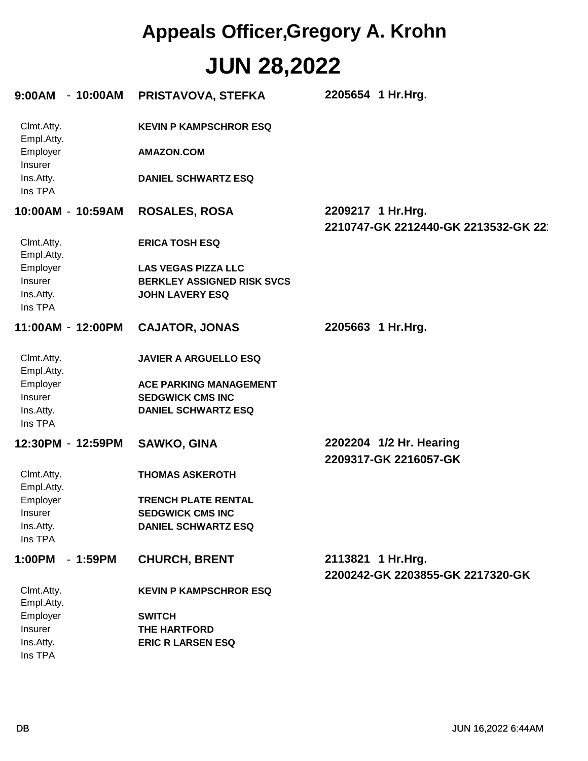## **JUN 28,2022 Appeals Officer,Gregory A. Krohn**

| $9:00AM - 10:00AM$               |           | PRISTAVOVA, STEFKA                                                                        | 2205654 1 Hr.Hrg.                                        |
|----------------------------------|-----------|-------------------------------------------------------------------------------------------|----------------------------------------------------------|
| Clmt.Atty.<br>Empl.Atty.         |           | <b>KEVIN P KAMPSCHROR ESQ</b>                                                             |                                                          |
| Employer<br>Insurer              |           | <b>AMAZON.COM</b>                                                                         |                                                          |
| Ins.Atty.<br>Ins TPA             |           | <b>DANIEL SCHWARTZ ESQ</b>                                                                |                                                          |
| 10:00AM - 10:59AM                |           | <b>ROSALES, ROSA</b>                                                                      | 2209217 1 Hr.Hrg.<br>2210747-GK 2212440-GK 2213532-GK 22 |
| Clmt.Atty.<br>Empl.Atty.         |           | <b>ERICA TOSH ESQ</b>                                                                     |                                                          |
| Employer<br>Insurer<br>Ins.Atty. |           | <b>LAS VEGAS PIZZA LLC</b><br><b>BERKLEY ASSIGNED RISK SVCS</b><br><b>JOHN LAVERY ESQ</b> |                                                          |
| Ins TPA                          |           |                                                                                           |                                                          |
| 11:00AM - 12:00PM                |           | <b>CAJATOR, JONAS</b>                                                                     | 2205663 1 Hr.Hrg.                                        |
| Clmt.Atty.<br>Empl.Atty.         |           | <b>JAVIER A ARGUELLO ESQ</b>                                                              |                                                          |
| Employer<br>Insurer              |           | <b>ACE PARKING MANAGEMENT</b><br><b>SEDGWICK CMS INC</b>                                  |                                                          |
| Ins.Atty.<br>Ins TPA             |           | <b>DANIEL SCHWARTZ ESQ</b>                                                                |                                                          |
| 12:30PM - 12:59PM                |           | <b>SAWKO, GINA</b>                                                                        | 2202204 1/2 Hr. Hearing<br>2209317-GK 2216057-GK         |
| Clmt.Atty.<br>Empl.Atty.         |           | <b>THOMAS ASKEROTH</b>                                                                    |                                                          |
| Employer                         |           | <b>TRENCH PLATE RENTAL</b>                                                                |                                                          |
| Insurer<br>Ins.Atty.             |           | <b>SEDGWICK CMS INC</b><br><b>DANIEL SCHWARTZ ESQ</b>                                     |                                                          |
| Ins TPA                          |           |                                                                                           |                                                          |
| 1:00PM                           | $-1:59PM$ | <b>CHURCH, BRENT</b>                                                                      | 2113821 1 Hr.Hrg.<br>2200242-GK 2203855-GK 2217320-GK    |
| Clmt.Atty.<br>Empl.Atty.         |           | <b>KEVIN P KAMPSCHROR ESQ</b>                                                             |                                                          |
| Employer<br>Insurer              |           | <b>SWITCH</b><br>THE HARTFORD                                                             |                                                          |
| Ins.Atty.<br>Ins TPA             |           | <b>ERIC R LARSEN ESQ</b>                                                                  |                                                          |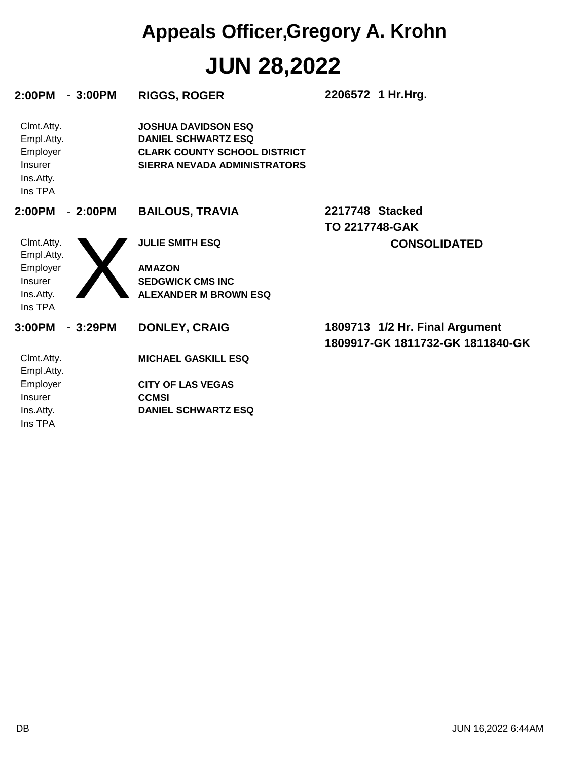# **JUN 28,2022 Appeals Officer,Gregory A. Krohn**

| 2:00PM                                                                  | $-3:00PM$ | <b>RIGGS, ROGER</b>                                                                                                             | 2206572 1 Hr.Hrg.                                                  |
|-------------------------------------------------------------------------|-----------|---------------------------------------------------------------------------------------------------------------------------------|--------------------------------------------------------------------|
| Clmt.Atty.<br>Empl.Atty.<br>Employer<br>Insurer<br>Ins.Atty.<br>Ins TPA |           | <b>JOSHUA DAVIDSON ESQ</b><br><b>DANIEL SCHWARTZ ESQ</b><br><b>CLARK COUNTY SCHOOL DISTRICT</b><br>SIERRA NEVADA ADMINISTRATORS |                                                                    |
| 2:00PM                                                                  | $-2:00PM$ | <b>BAILOUS, TRAVIA</b>                                                                                                          | 2217748 Stacked<br><b>TO 2217748-GAK</b>                           |
| Clmt.Atty.<br>Empl.Atty.<br>Employer<br>Insurer<br>Ins.Atty.<br>Ins TPA |           | <b>JULIE SMITH ESQ</b><br><b>AMAZON</b><br><b>SEDGWICK CMS INC</b><br><b>ALEXANDER M BROWN ESQ</b>                              | <b>CONSOLIDATED</b>                                                |
| 3:00PM                                                                  | $-3:29PM$ | <b>DONLEY, CRAIG</b>                                                                                                            | 1809713 1/2 Hr. Final Argument<br>1809917-GK 1811732-GK 1811840-GK |
| Clmt.Atty.<br>Empl.Atty.                                                |           | <b>MICHAEL GASKILL ESQ</b>                                                                                                      |                                                                    |
| Employer<br>Insurer<br>Ins.Atty.                                        |           | <b>CITY OF LAS VEGAS</b><br><b>CCMSI</b><br><b>DANIEL SCHWARTZ ESQ</b>                                                          |                                                                    |
| Ins TPA                                                                 |           |                                                                                                                                 |                                                                    |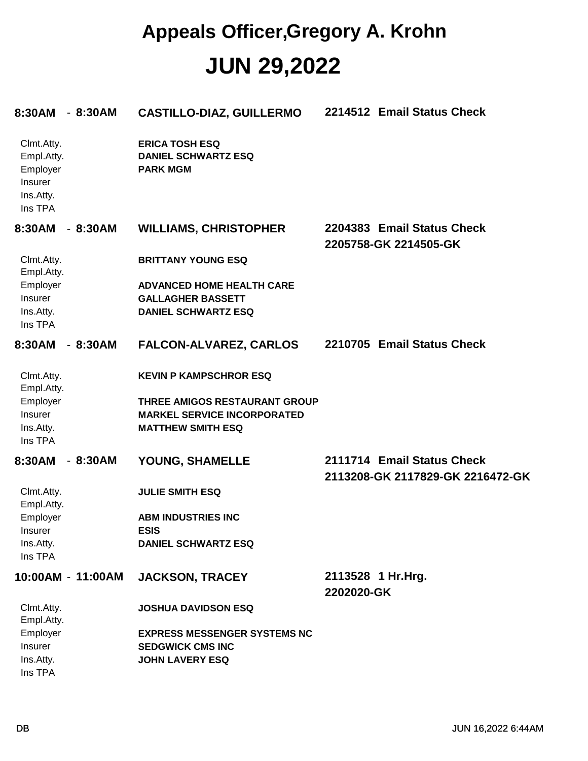#### **JUN 29,2022 Appeals Officer,Gregory A. Krohn**

| 8:30AM                                                                  | $-8:30AM$         | <b>CASTILLO-DIAZ, GUILLERMO</b>                                                                                                  | 2214512 Email Status Check                                     |
|-------------------------------------------------------------------------|-------------------|----------------------------------------------------------------------------------------------------------------------------------|----------------------------------------------------------------|
| Clmt.Atty.<br>Empl.Atty.<br>Employer<br>Insurer<br>Ins.Atty.<br>Ins TPA |                   | <b>ERICA TOSH ESQ</b><br><b>DANIEL SCHWARTZ ESQ</b><br><b>PARK MGM</b>                                                           |                                                                |
| 8:30AM                                                                  | $-8:30AM$         | <b>WILLIAMS, CHRISTOPHER</b>                                                                                                     | 2204383 Email Status Check<br>2205758-GK 2214505-GK            |
| Clmt.Atty.<br>Empl.Atty.                                                |                   | <b>BRITTANY YOUNG ESQ</b>                                                                                                        |                                                                |
| Employer<br>Insurer<br>Ins.Atty.<br>Ins TPA                             |                   | <b>ADVANCED HOME HEALTH CARE</b><br><b>GALLAGHER BASSETT</b><br><b>DANIEL SCHWARTZ ESQ</b>                                       |                                                                |
| 8:30AM                                                                  | $-8:30AM$         | <b>FALCON-ALVAREZ, CARLOS</b>                                                                                                    | 2210705 Email Status Check                                     |
| Clmt.Atty.<br>Empl.Atty.<br>Employer<br>Insurer<br>Ins.Atty.<br>Ins TPA |                   | <b>KEVIN P KAMPSCHROR ESQ</b><br>THREE AMIGOS RESTAURANT GROUP<br><b>MARKEL SERVICE INCORPORATED</b><br><b>MATTHEW SMITH ESQ</b> |                                                                |
| 8:30AM                                                                  | $-8:30AM$         | YOUNG, SHAMELLE                                                                                                                  | 2111714 Email Status Check<br>2113208-GK 2117829-GK 2216472-GK |
| Clmt.Atty.<br>Empl.Atty.<br>Employer<br>Insurer<br>Ins.Atty.<br>Ins TPA |                   | <b>JULIE SMITH ESQ</b><br><b>ABM INDUSTRIES INC</b><br><b>ESIS</b><br><b>DANIEL SCHWARTZ ESQ</b>                                 |                                                                |
|                                                                         | 10:00AM - 11:00AM | <b>JACKSON, TRACEY</b>                                                                                                           | 2113528 1 Hr.Hrg.<br>2202020-GK                                |
| Clmt.Atty.<br>Empl.Atty.                                                |                   | <b>JOSHUA DAVIDSON ESQ</b>                                                                                                       |                                                                |
| Employer<br>Insurer<br>Ins.Atty.<br>Ins TPA                             |                   | <b>EXPRESS MESSENGER SYSTEMS NC</b><br><b>SEDGWICK CMS INC</b><br><b>JOHN LAVERY ESQ</b>                                         |                                                                |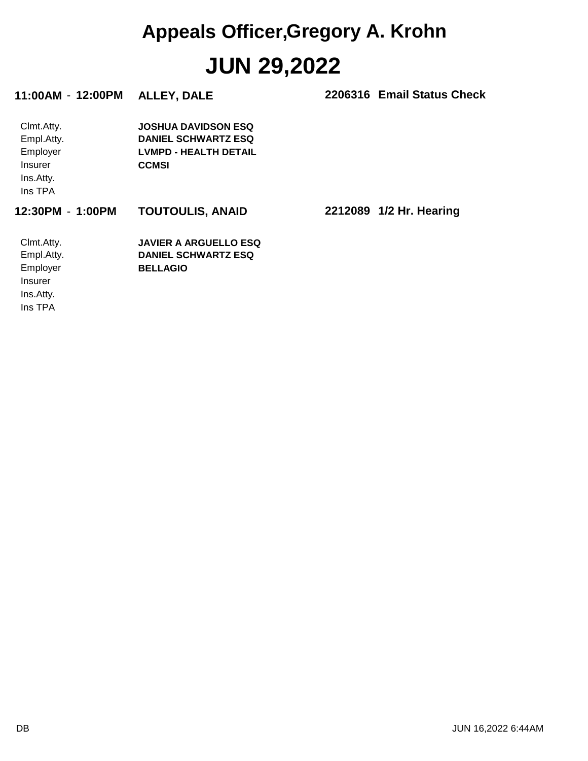# **JUN 29,2022 Appeals Officer,Gregory A. Krohn**

| 11:00AM - 12:00PM                                                              | <b>ALLEY, DALE</b>                                                                                       | 2206316 Email Status Check |
|--------------------------------------------------------------------------------|----------------------------------------------------------------------------------------------------------|----------------------------|
| Clmt.Atty.<br>Empl.Atty.<br>Employer<br><b>Insurer</b><br>Ins.Atty.<br>Ins TPA | <b>JOSHUA DAVIDSON ESQ</b><br><b>DANIEL SCHWARTZ ESQ</b><br><b>LVMPD - HEALTH DETAIL</b><br><b>CCMSI</b> |                            |
| 12:30PM - 1:00PM                                                               | <b>TOUTOULIS, ANAID</b>                                                                                  | 2212089 1/2 Hr. Hearing    |
| Clmt.Atty.<br>Empl.Atty.<br>Employer<br><b>Insurer</b><br>Ins.Atty.<br>Ins TPA | <b>JAVIER A ARGUELLO ESQ</b><br><b>DANIEL SCHWARTZ ESQ</b><br><b>BELLAGIO</b>                            |                            |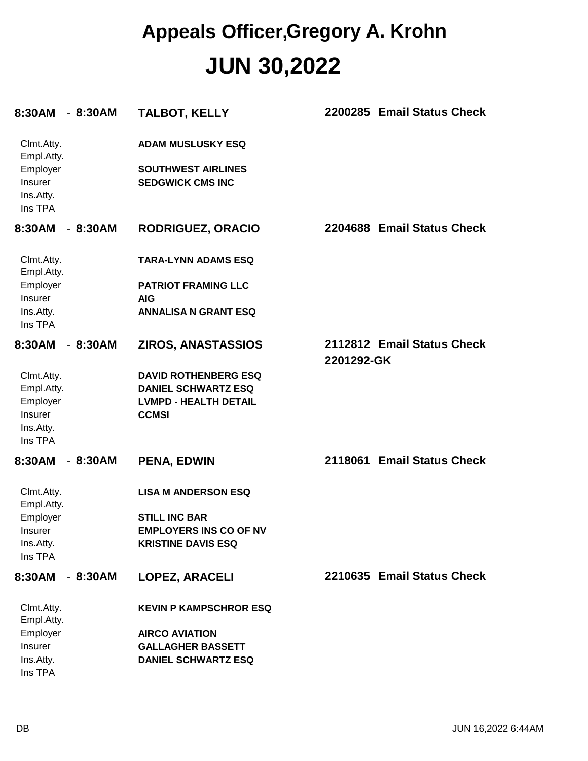#### **JUN 30,2022 Appeals Officer,Gregory A. Krohn**

| 8:30AM                                                                  | $-8:30AM$ | <b>TALBOT, KELLY</b>                                                                                      | 2200285 Email Status Check               |
|-------------------------------------------------------------------------|-----------|-----------------------------------------------------------------------------------------------------------|------------------------------------------|
| Clmt.Atty.<br>Empl.Atty.<br>Employer<br>Insurer<br>Ins.Atty.<br>Ins TPA |           | <b>ADAM MUSLUSKY ESQ</b><br><b>SOUTHWEST AIRLINES</b><br><b>SEDGWICK CMS INC</b>                          |                                          |
| 8:30AM                                                                  | $-8:30AM$ | <b>RODRIGUEZ, ORACIO</b>                                                                                  | 2204688 Email Status Check               |
| Clmt.Atty.<br>Empl.Atty.                                                |           | <b>TARA-LYNN ADAMS ESQ</b>                                                                                |                                          |
| Employer                                                                |           | <b>PATRIOT FRAMING LLC</b>                                                                                |                                          |
| <b>Insurer</b>                                                          |           | AIG                                                                                                       |                                          |
| Ins.Atty.<br>Ins TPA                                                    |           | <b>ANNALISA N GRANT ESQ</b>                                                                               |                                          |
| 8:30AM                                                                  | $-8:30AM$ | <b>ZIROS, ANASTASSIOS</b>                                                                                 | 2112812 Email Status Check<br>2201292-GK |
| Clmt.Atty.<br>Empl.Atty.<br>Employer<br>Insurer<br>Ins.Atty.<br>Ins TPA |           | <b>DAVID ROTHENBERG ESQ</b><br><b>DANIEL SCHWARTZ ESQ</b><br><b>LVMPD - HEALTH DETAIL</b><br><b>CCMSI</b> |                                          |
| 8:30AM                                                                  | $-8:30AM$ | <b>PENA, EDWIN</b>                                                                                        | 2118061 Email Status Check               |
| Clmt.Atty.<br>Empl.Atty.                                                |           | <b>LISA M ANDERSON ESQ</b>                                                                                |                                          |
| Employer                                                                |           | <b>STILL INC BAR</b>                                                                                      |                                          |
| <b>Insurer</b>                                                          |           | <b>EMPLOYERS INS CO OF NV</b>                                                                             |                                          |
| Ins.Atty.<br>Ins TPA                                                    |           | <b>KRISTINE DAVIS ESQ</b>                                                                                 |                                          |
| 8:30AM                                                                  | $-8:30AM$ | <b>LOPEZ, ARACELI</b>                                                                                     | 2210635 Email Status Check               |
| Clmt.Atty.<br>Empl.Atty.                                                |           | <b>KEVIN P KAMPSCHROR ESQ</b>                                                                             |                                          |
| Employer                                                                |           | <b>AIRCO AVIATION</b>                                                                                     |                                          |
| Insurer                                                                 |           | <b>GALLAGHER BASSETT</b>                                                                                  |                                          |
| Ins.Atty.<br>Ins TPA                                                    |           | <b>DANIEL SCHWARTZ ESQ</b>                                                                                |                                          |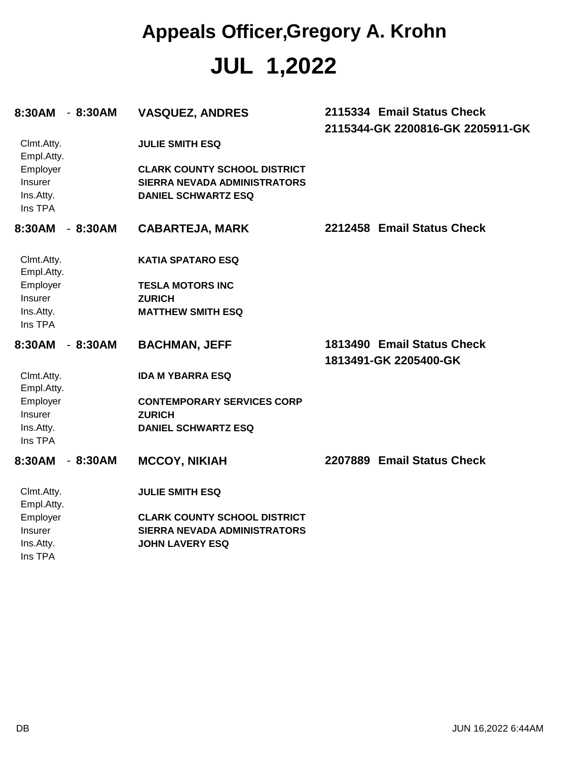## **JUL 1,2022 Appeals Officer,Gregory A. Krohn**

| $-8:30AM$<br>8:30AM                         | <b>VASQUEZ, ANDRES</b>                                                                                   | 2115334 Email Status Check<br>2115344-GK 2200816-GK 2205911-GK |
|---------------------------------------------|----------------------------------------------------------------------------------------------------------|----------------------------------------------------------------|
| Clmt.Atty.<br>Empl.Atty.                    | <b>JULIE SMITH ESQ</b>                                                                                   |                                                                |
| Employer<br>Insurer<br>Ins.Atty.<br>Ins TPA | <b>CLARK COUNTY SCHOOL DISTRICT</b><br><b>SIERRA NEVADA ADMINISTRATORS</b><br><b>DANIEL SCHWARTZ ESQ</b> |                                                                |
| 8:30AM<br>$-8:30AM$                         | <b>CABARTEJA, MARK</b>                                                                                   | 2212458 Email Status Check                                     |
| Clmt.Atty.<br>Empl.Atty.                    | <b>KATIA SPATARO ESQ</b>                                                                                 |                                                                |
| Employer                                    | <b>TESLA MOTORS INC</b>                                                                                  |                                                                |
| Insurer                                     | <b>ZURICH</b>                                                                                            |                                                                |
| Ins.Atty.<br>Ins TPA                        | <b>MATTHEW SMITH ESQ</b>                                                                                 |                                                                |
| $-8:30AM$<br>8:30AM                         | <b>BACHMAN, JEFF</b>                                                                                     | 1813490 Email Status Check<br>1813491-GK 2205400-GK            |
| Clmt.Atty.<br>Empl.Atty.                    | <b>IDA M YBARRA ESQ</b>                                                                                  |                                                                |
| Employer                                    | <b>CONTEMPORARY SERVICES CORP</b>                                                                        |                                                                |
| Insurer                                     | <b>ZURICH</b>                                                                                            |                                                                |
| Ins.Atty.                                   | <b>DANIEL SCHWARTZ ESQ</b>                                                                               |                                                                |
| Ins TPA                                     |                                                                                                          |                                                                |
| 8:30AM<br>$-8:30AM$                         | <b>MCCOY, NIKIAH</b>                                                                                     | 2207889 Email Status Check                                     |
| Clmt.Atty.<br>Empl.Atty.                    | <b>JULIE SMITH ESQ</b>                                                                                   |                                                                |
| Employer                                    | <b>CLARK COUNTY SCHOOL DISTRICT</b>                                                                      |                                                                |
| Insurer                                     | <b>SIERRA NEVADA ADMINISTRATORS</b>                                                                      |                                                                |
| Ins.Atty.                                   | <b>JOHN LAVERY ESQ</b>                                                                                   |                                                                |
| Ins TPA                                     |                                                                                                          |                                                                |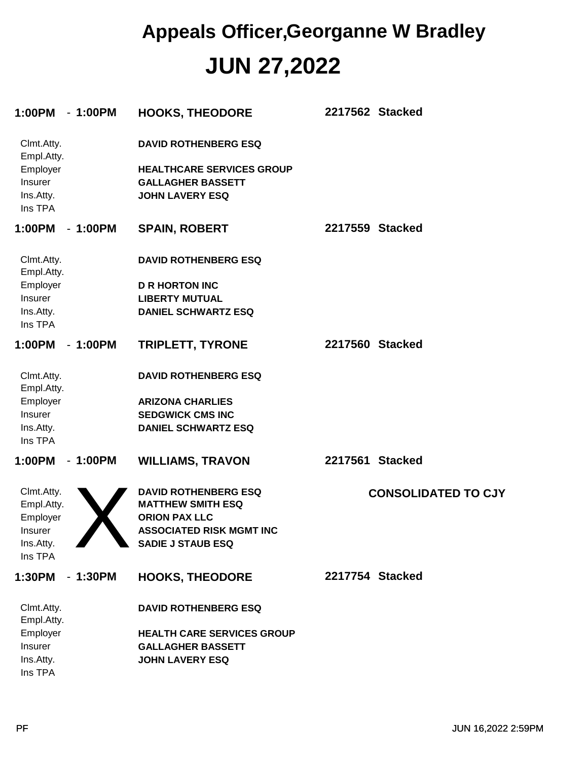#### **JUN 27,2022 Appeals Officer,Georganne W Bradley**

| 1:00PM<br>$-1:00PM$                                          | <b>HOOKS, THEODORE</b>                                                                                                | 2217562 Stacked            |
|--------------------------------------------------------------|-----------------------------------------------------------------------------------------------------------------------|----------------------------|
| Clmt.Atty.<br>Empl.Atty.<br>Employer<br>Insurer<br>Ins.Atty. | <b>DAVID ROTHENBERG ESQ</b><br><b>HEALTHCARE SERVICES GROUP</b><br><b>GALLAGHER BASSETT</b><br><b>JOHN LAVERY ESQ</b> |                            |
| Ins TPA                                                      |                                                                                                                       |                            |
| $-1:00PM$<br>1:00PM                                          | <b>SPAIN, ROBERT</b>                                                                                                  | 2217559 Stacked            |
| Clmt.Atty.<br>Empl.Atty.                                     | <b>DAVID ROTHENBERG ESQ</b>                                                                                           |                            |
| Employer                                                     | <b>D R HORTON INC</b>                                                                                                 |                            |
| Insurer                                                      | <b>LIBERTY MUTUAL</b>                                                                                                 |                            |
| Ins.Atty.<br>Ins TPA                                         | <b>DANIEL SCHWARTZ ESQ</b>                                                                                            |                            |
| 1:00PM<br>$-1:00PM$                                          | <b>TRIPLETT, TYRONE</b>                                                                                               | 2217560 Stacked            |
| Clmt.Atty.<br>Empl.Atty.                                     | <b>DAVID ROTHENBERG ESQ</b>                                                                                           |                            |
| Employer                                                     | <b>ARIZONA CHARLIES</b>                                                                                               |                            |
| Insurer                                                      | <b>SEDGWICK CMS INC</b>                                                                                               |                            |
| Ins.Atty.<br>Ins TPA                                         | <b>DANIEL SCHWARTZ ESQ</b>                                                                                            |                            |
| 1:00PM<br>$-1:00PM$                                          | <b>WILLIAMS, TRAVON</b>                                                                                               | 2217561 Stacked            |
| Clmt.Atty.<br>Empl.Atty.<br>Employer                         | <b>DAVID ROTHENBERG ESQ</b><br><b>MATTHEW SMITH ESQ</b><br><b>ORION PAX LLC</b>                                       | <b>CONSOLIDATED TO CJY</b> |
| Insurer                                                      | <b>ASSOCIATED RISK MGMT INC</b>                                                                                       |                            |
| Ins.Atty.                                                    | <b>SADIE J STAUB ESQ</b>                                                                                              |                            |
| Ins TPA                                                      |                                                                                                                       |                            |
| 1:30PM<br>$-1:30PM$                                          | <b>HOOKS, THEODORE</b>                                                                                                | 2217754 Stacked            |
| Clmt.Atty.<br>Empl.Atty.                                     | <b>DAVID ROTHENBERG ESQ</b>                                                                                           |                            |
| Employer                                                     | <b>HEALTH CARE SERVICES GROUP</b>                                                                                     |                            |
| Insurer                                                      | <b>GALLAGHER BASSETT</b>                                                                                              |                            |
| Ins.Atty.<br>Ins TPA                                         | <b>JOHN LAVERY ESQ</b>                                                                                                |                            |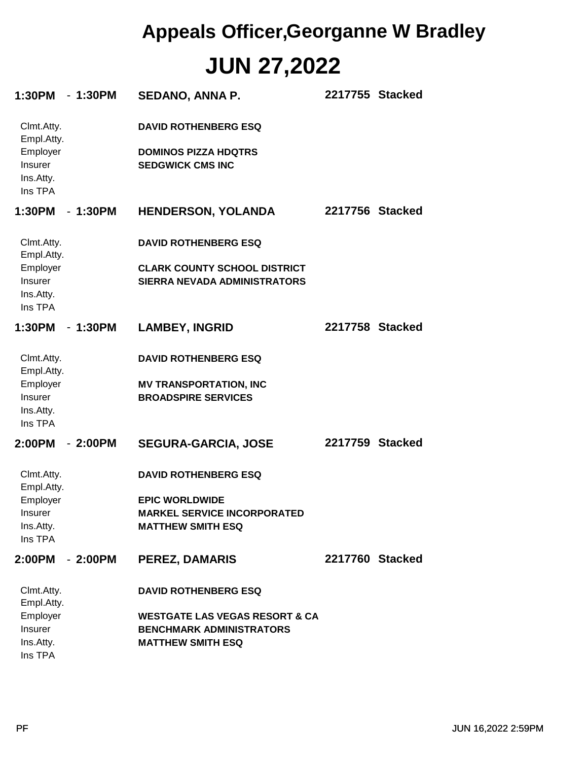## **JUN 27,2022 Appeals Officer,Georganne W Bradley**

| $-1:30PM$<br>1:30PM                         | <b>SEDANO, ANNA P.</b>                                                     | 2217755 Stacked |  |
|---------------------------------------------|----------------------------------------------------------------------------|-----------------|--|
| Clmt.Atty.<br>Empl.Atty.                    | <b>DAVID ROTHENBERG ESQ</b>                                                |                 |  |
| Employer<br>Insurer<br>Ins.Atty.<br>Ins TPA | <b>DOMINOS PIZZA HDQTRS</b><br><b>SEDGWICK CMS INC</b>                     |                 |  |
| 1:30PM<br>$-1:30PM$                         | <b>HENDERSON, YOLANDA</b>                                                  | 2217756 Stacked |  |
| Clmt.Atty.<br>Empl.Atty.                    | <b>DAVID ROTHENBERG ESQ</b>                                                |                 |  |
| Employer<br>Insurer<br>Ins.Atty.<br>Ins TPA | <b>CLARK COUNTY SCHOOL DISTRICT</b><br><b>SIERRA NEVADA ADMINISTRATORS</b> |                 |  |
| 1:30PM<br>$-1:30PM$                         | <b>LAMBEY, INGRID</b>                                                      | 2217758 Stacked |  |
| Clmt.Atty.<br>Empl.Atty.                    | <b>DAVID ROTHENBERG ESQ</b>                                                |                 |  |
| Employer<br>Insurer<br>Ins.Atty.<br>Ins TPA | <b>MV TRANSPORTATION, INC</b><br><b>BROADSPIRE SERVICES</b>                |                 |  |
| 2:00PM<br>$-2:00PM$                         | <b>SEGURA-GARCIA, JOSE</b>                                                 | 2217759 Stacked |  |
| Clmt.Atty.<br>Empl.Atty.                    | <b>DAVID ROTHENBERG ESQ</b>                                                |                 |  |
| Employer                                    | <b>EPIC WORLDWIDE</b>                                                      |                 |  |
| Insurer<br>Ins.Atty.<br>Ins TPA             | <b>MARKEL SERVICE INCORPORATED</b><br><b>MATTHEW SMITH ESQ</b>             |                 |  |
| 2:00PM - 2:00PM                             | <b>PEREZ, DAMARIS</b>                                                      | 2217760 Stacked |  |
| Clmt.Atty.<br>Empl.Atty.                    | <b>DAVID ROTHENBERG ESQ</b>                                                |                 |  |
| Employer                                    | <b>WESTGATE LAS VEGAS RESORT &amp; CA</b>                                  |                 |  |
| Insurer                                     | <b>BENCHMARK ADMINISTRATORS</b>                                            |                 |  |
| Ins.Atty.<br>Ins TPA                        | <b>MATTHEW SMITH ESQ</b>                                                   |                 |  |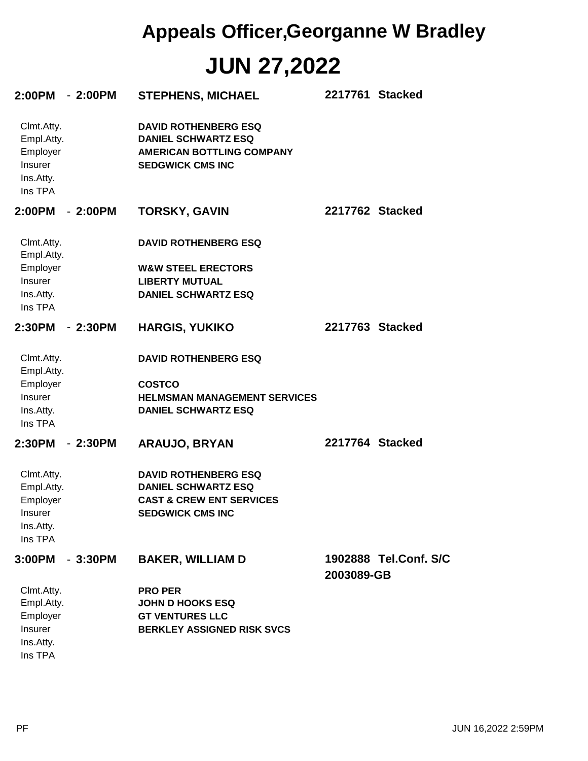## **JUN 27,2022 Appeals Officer,Georganne W Bradley**

| 2:00PM - 2:00PM                                                         |           | <b>STEPHENS, MICHAEL</b>                                                                                                    |                 | 2217761 Stacked       |
|-------------------------------------------------------------------------|-----------|-----------------------------------------------------------------------------------------------------------------------------|-----------------|-----------------------|
| Clmt.Atty.<br>Empl.Atty.<br>Employer<br>Insurer<br>Ins.Atty.<br>Ins TPA |           | <b>DAVID ROTHENBERG ESQ</b><br><b>DANIEL SCHWARTZ ESQ</b><br><b>AMERICAN BOTTLING COMPANY</b><br><b>SEDGWICK CMS INC</b>    |                 |                       |
| 2:00PM                                                                  | $-2:00PM$ | <b>TORSKY, GAVIN</b>                                                                                                        | 2217762 Stacked |                       |
| Clmt.Atty.<br>Empl.Atty.                                                |           | <b>DAVID ROTHENBERG ESQ</b>                                                                                                 |                 |                       |
| Employer                                                                |           | <b>W&amp;W STEEL ERECTORS</b>                                                                                               |                 |                       |
| Insurer                                                                 |           | <b>LIBERTY MUTUAL</b>                                                                                                       |                 |                       |
| Ins.Atty.<br>Ins TPA                                                    |           | <b>DANIEL SCHWARTZ ESQ</b>                                                                                                  |                 |                       |
| 2:30PM                                                                  | $-2:30PM$ | <b>HARGIS, YUKIKO</b>                                                                                                       | 2217763 Stacked |                       |
| Clmt.Atty.<br>Empl.Atty.<br>Employer                                    |           | <b>DAVID ROTHENBERG ESQ</b><br><b>COSTCO</b>                                                                                |                 |                       |
| <b>Insurer</b><br>Ins.Atty.<br>Ins TPA                                  |           | <b>HELMSMAN MANAGEMENT SERVICES</b><br><b>DANIEL SCHWARTZ ESQ</b>                                                           |                 |                       |
| 2:30PM                                                                  | - 2:30PM  | <b>ARAUJO, BRYAN</b>                                                                                                        | 2217764 Stacked |                       |
| Clmt.Atty.<br>Empl.Atty.<br>Employer<br>Insurer<br>Ins.Atty.<br>Ins TPA |           | <b>DAVID ROTHENBERG ESQ</b><br><b>DANIEL SCHWARTZ ESQ</b><br><b>CAST &amp; CREW ENT SERVICES</b><br><b>SEDGWICK CMS INC</b> |                 |                       |
| 3:00PM                                                                  | $-3:30PM$ | <b>BAKER, WILLIAM D</b>                                                                                                     | 2003089-GB      | 1902888 Tel.Conf. S/C |
| Clmt.Atty.                                                              |           | <b>PRO PER</b>                                                                                                              |                 |                       |
| Empl.Atty.                                                              |           | <b>JOHN D HOOKS ESQ</b>                                                                                                     |                 |                       |
| Employer                                                                |           | <b>GT VENTURES LLC</b>                                                                                                      |                 |                       |
| Insurer<br>Ins.Atty.<br>Ins TPA                                         |           | <b>BERKLEY ASSIGNED RISK SVCS</b>                                                                                           |                 |                       |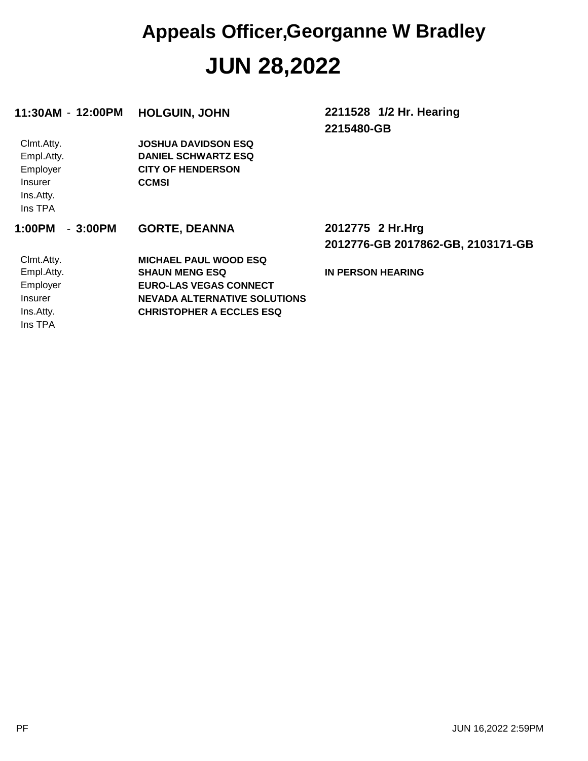#### **JUN 28,2022 Appeals Officer,Georganne W Bradley**

| 11:30AM - 12:00PM   | <b>HOLGUIN, JOHN</b>                | 2211528 1/2 Hr. Hearing           |
|---------------------|-------------------------------------|-----------------------------------|
|                     |                                     | 2215480-GB                        |
| Clmt.Atty.          | <b>JOSHUA DAVIDSON ESQ</b>          |                                   |
| Empl.Atty.          | <b>DANIEL SCHWARTZ ESQ</b>          |                                   |
| Employer            | <b>CITY OF HENDERSON</b>            |                                   |
| Insurer             | <b>CCMSI</b>                        |                                   |
| Ins.Atty.           |                                     |                                   |
| Ins TPA             |                                     |                                   |
| $-3:00PM$<br>1:00PM | <b>GORTE, DEANNA</b>                | 2012775 2 Hr.Hrg                  |
|                     |                                     |                                   |
|                     |                                     | 2012776-GB 2017862-GB, 2103171-GB |
| Clmt.Atty.          | <b>MICHAEL PAUL WOOD ESQ</b>        |                                   |
| Empl.Atty.          | <b>SHAUN MENG ESQ</b>               | <b>IN PERSON HEARING</b>          |
| Employer            | <b>EURO-LAS VEGAS CONNECT</b>       |                                   |
| <b>Insurer</b>      | <b>NEVADA ALTERNATIVE SOLUTIONS</b> |                                   |
| Ins.Atty.           | <b>CHRISTOPHER A ECCLES ESQ</b>     |                                   |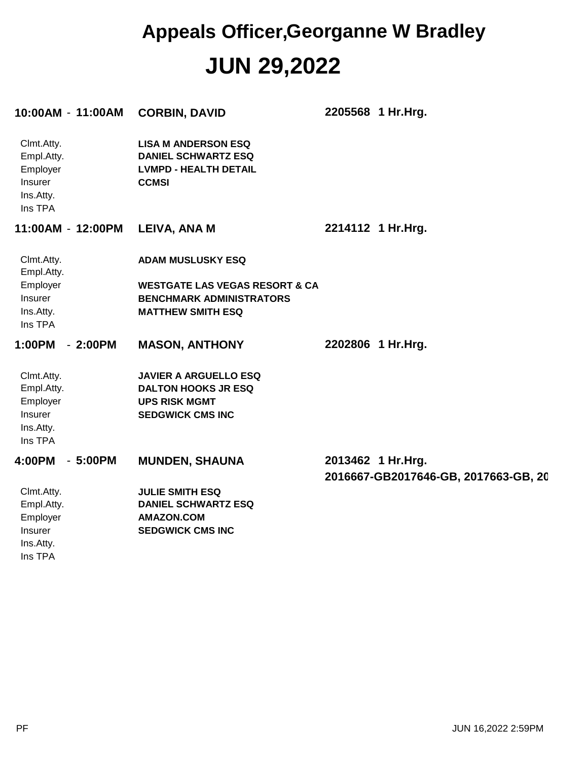#### **JUN 29,2022 Appeals Officer,Georganne W Bradley**

| 10:00AM - 11:00AM                                                       |           | <b>CORBIN, DAVID</b>                                                                                     | 2205568 1 Hr.Hrg.                                         |
|-------------------------------------------------------------------------|-----------|----------------------------------------------------------------------------------------------------------|-----------------------------------------------------------|
| Clmt.Atty.<br>Empl.Atty.<br>Employer<br>Insurer<br>Ins.Atty.<br>Ins TPA |           | <b>LISA M ANDERSON ESQ</b><br><b>DANIEL SCHWARTZ ESQ</b><br><b>LVMPD - HEALTH DETAIL</b><br><b>CCMSI</b> |                                                           |
| 11:00AM - 12:00PM                                                       |           | LEIVA, ANA M                                                                                             | 2214112 1 Hr.Hrg.                                         |
| Clmt.Atty.<br>Empl.Atty.                                                |           | <b>ADAM MUSLUSKY ESQ</b>                                                                                 |                                                           |
| Employer<br>Insurer                                                     |           | <b>WESTGATE LAS VEGAS RESORT &amp; CA</b><br><b>BENCHMARK ADMINISTRATORS</b>                             |                                                           |
| Ins.Atty.<br>Ins TPA                                                    |           | <b>MATTHEW SMITH ESQ</b>                                                                                 |                                                           |
| 1:00PM                                                                  | $-2:00PM$ | <b>MASON, ANTHONY</b>                                                                                    | 2202806 1 Hr.Hrg.                                         |
| Clmt.Atty.                                                              |           | <b>JAVIER A ARGUELLO ESQ</b>                                                                             |                                                           |
| Empl.Atty.                                                              |           | <b>DALTON HOOKS JR ESQ</b><br><b>UPS RISK MGMT</b>                                                       |                                                           |
| Employer<br>Insurer                                                     |           | <b>SEDGWICK CMS INC</b>                                                                                  |                                                           |
| Ins.Atty.                                                               |           |                                                                                                          |                                                           |
| Ins TPA                                                                 |           |                                                                                                          |                                                           |
| 4:00PM<br>-                                                             | 5:00PM    | <b>MUNDEN, SHAUNA</b>                                                                                    | 2013462 1 Hr.Hrg.<br>2016667-GB2017646-GB, 2017663-GB, 20 |
| Clmt.Atty.                                                              |           | <b>JULIE SMITH ESQ</b>                                                                                   |                                                           |
| Empl.Atty.                                                              |           | <b>DANIEL SCHWARTZ ESQ</b>                                                                               |                                                           |
| Employer<br>Insurer                                                     |           | <b>AMAZON.COM</b><br><b>SEDGWICK CMS INC</b>                                                             |                                                           |
| Ins.Atty.                                                               |           |                                                                                                          |                                                           |
| Ins TPA                                                                 |           |                                                                                                          |                                                           |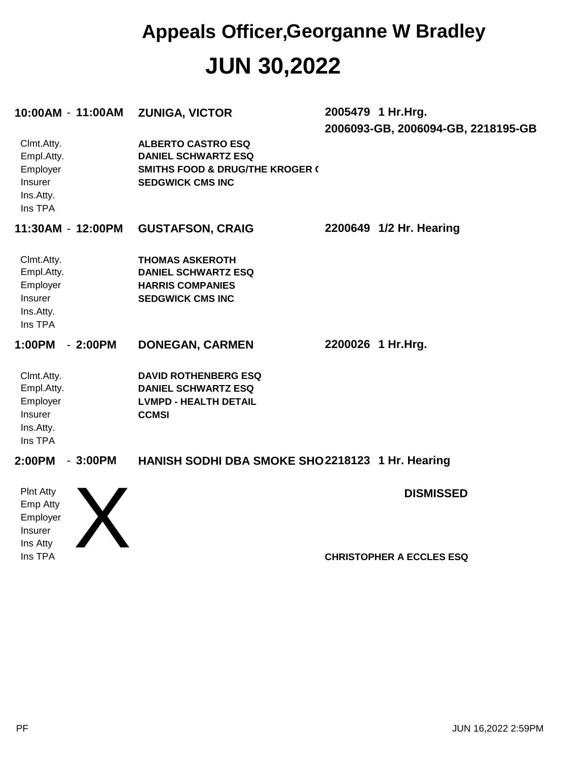#### **JUN 30,2022 Appeals Officer,Georganne W Bradley**

| 10:00AM - 11:00AM                                                       | <b>ZUNIGA, VICTOR</b>                                                                                                            | 2005479 1 Hr.Hrg. | 2006093-GB, 2006094-GB, 2218195-GB |
|-------------------------------------------------------------------------|----------------------------------------------------------------------------------------------------------------------------------|-------------------|------------------------------------|
| Clmt.Atty.<br>Empl.Atty.<br>Employer<br>Insurer<br>Ins.Atty.<br>Ins TPA | <b>ALBERTO CASTRO ESQ</b><br><b>DANIEL SCHWARTZ ESQ</b><br><b>SMITHS FOOD &amp; DRUG/THE KROGER (</b><br><b>SEDGWICK CMS INC</b> |                   |                                    |
| 11:30AM - 12:00PM                                                       | <b>GUSTAFSON, CRAIG</b>                                                                                                          |                   | 2200649 1/2 Hr. Hearing            |
| Clmt.Atty.<br>Empl.Atty.<br>Employer<br>Insurer<br>Ins.Atty.<br>Ins TPA | <b>THOMAS ASKEROTH</b><br><b>DANIEL SCHWARTZ ESQ</b><br><b>HARRIS COMPANIES</b><br><b>SEDGWICK CMS INC</b>                       |                   |                                    |
| 1:00PM<br>$-2:00PM$                                                     | <b>DONEGAN, CARMEN</b>                                                                                                           | 2200026 1 Hr.Hrg. |                                    |
| Clmt.Atty.<br>Empl.Atty.<br>Employer<br>Insurer<br>Ins.Atty.<br>Ins TPA | <b>DAVID ROTHENBERG ESQ</b><br><b>DANIEL SCHWARTZ ESQ</b><br><b>LVMPD - HEALTH DETAIL</b><br><b>CCMSI</b>                        |                   |                                    |
| 2:00PM<br>$-3:00PM$                                                     | HANISH SODHI DBA SMOKE SHO2218123 1 Hr. Hearing                                                                                  |                   |                                    |
| <b>PInt Atty</b>                                                        |                                                                                                                                  |                   | <b>DISMISSED</b>                   |

Ins TPA Ins Atty Insurer Employer Emp Atty

X

**CHRISTOPHER A ECCLES ESQ**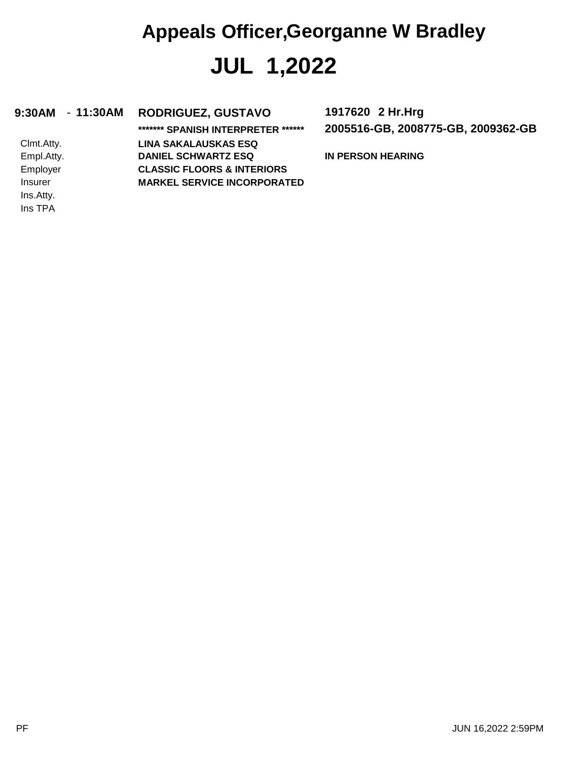## **JUL 1,2022 Appeals Officer,Georganne W Bradley**

#### **9:30AM** - **11:30AM RODRIGUEZ, GUSTAVO 1917620**

Ins TPA Ins.Atty. Insurer Employer Empl.Atty. Clmt.Atty.

**\*\*\*\*\*\*\* SPANISH INTERPRETER \*\*\*\*\*\* MARKEL SERVICE INCORPORATED CLASSIC FLOORS & INTERIORS DANIEL SCHWARTZ ESQ LINA SAKALAUSKAS ESQ**

**2005516-GB, 2008775-GB, 2009362-GB 2 Hr.Hrg**

**IN PERSON HEARING**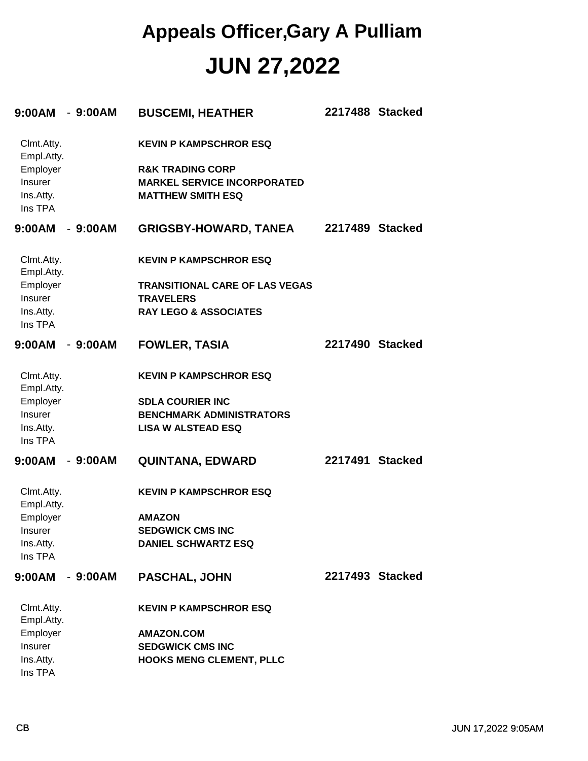| 9:00AM                   | $-9:00AM$ | <b>BUSCEMI, HEATHER</b>               | 2217488 Stacked |  |
|--------------------------|-----------|---------------------------------------|-----------------|--|
| Clmt.Atty.<br>Empl.Atty. |           | <b>KEVIN P KAMPSCHROR ESQ</b>         |                 |  |
| Employer                 |           | <b>R&amp;K TRADING CORP</b>           |                 |  |
| Insurer                  |           | <b>MARKEL SERVICE INCORPORATED</b>    |                 |  |
| Ins.Atty.<br>Ins TPA     |           | <b>MATTHEW SMITH ESQ</b>              |                 |  |
| 9:00AM                   | $-9:00AM$ | <b>GRIGSBY-HOWARD, TANEA</b>          | 2217489 Stacked |  |
| Clmt.Atty.<br>Empl.Atty. |           | <b>KEVIN P KAMPSCHROR ESQ</b>         |                 |  |
| Employer                 |           | <b>TRANSITIONAL CARE OF LAS VEGAS</b> |                 |  |
| Insurer                  |           | <b>TRAVELERS</b>                      |                 |  |
| Ins.Atty.<br>Ins TPA     |           | <b>RAY LEGO &amp; ASSOCIATES</b>      |                 |  |
| 9:00AM                   | $-9:00AM$ | <b>FOWLER, TASIA</b>                  | 2217490 Stacked |  |
| Clmt.Atty.<br>Empl.Atty. |           | <b>KEVIN P KAMPSCHROR ESQ</b>         |                 |  |
| Employer                 |           | <b>SDLA COURIER INC</b>               |                 |  |
| Insurer                  |           | <b>BENCHMARK ADMINISTRATORS</b>       |                 |  |
| Ins.Atty.<br>Ins TPA     |           | <b>LISA W ALSTEAD ESQ</b>             |                 |  |
| 9:00AM                   | $-9:00AM$ | <b>QUINTANA, EDWARD</b>               | 2217491 Stacked |  |
| Clmt.Atty.<br>Empl.Atty. |           | <b>KEVIN P KAMPSCHROR ESQ</b>         |                 |  |
| Employer                 |           | <b>AMAZON</b>                         |                 |  |
| <b>Insurer</b>           |           | <b>SEDGWICK CMS INC</b>               |                 |  |
| Ins.Atty.<br>Ins TPA     |           | <b>DANIEL SCHWARTZ ESQ</b>            |                 |  |
| 9:00AM                   | $-9:00AM$ | <b>PASCHAL, JOHN</b>                  | 2217493 Stacked |  |
| Clmt.Atty.<br>Empl.Atty. |           | <b>KEVIN P KAMPSCHROR ESQ</b>         |                 |  |
| Employer                 |           | <b>AMAZON.COM</b>                     |                 |  |
| Insurer                  |           | <b>SEDGWICK CMS INC</b>               |                 |  |
| Ins.Atty.                |           | <b>HOOKS MENG CLEMENT, PLLC</b>       |                 |  |
| Ins TPA                  |           |                                       |                 |  |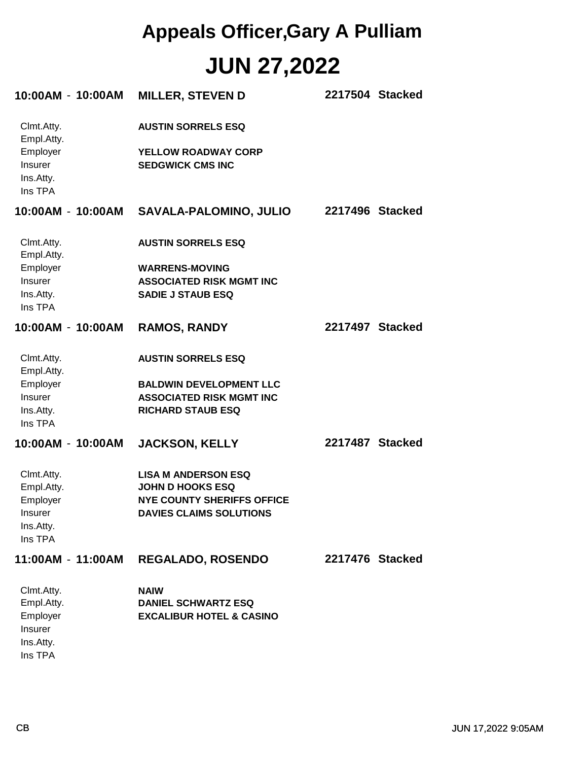| 10:00AM - 10:00AM                           | <b>MILLER, STEVEN D</b>                               | 2217504 Stacked |
|---------------------------------------------|-------------------------------------------------------|-----------------|
| Clmt.Atty.<br>Empl.Atty.                    | <b>AUSTIN SORRELS ESQ</b>                             |                 |
| Employer<br>Insurer<br>Ins.Atty.<br>Ins TPA | <b>YELLOW ROADWAY CORP</b><br><b>SEDGWICK CMS INC</b> |                 |
|                                             | 10:00AM - 10:00AM SAVALA-PALOMINO, JULIO              | 2217496 Stacked |
| Clmt.Atty.<br>Empl.Atty.                    | <b>AUSTIN SORRELS ESQ</b>                             |                 |
| Employer                                    | <b>WARRENS-MOVING</b>                                 |                 |
| Insurer                                     | <b>ASSOCIATED RISK MGMT INC</b>                       |                 |
| Ins.Atty.<br>Ins TPA                        | <b>SADIE J STAUB ESQ</b>                              |                 |
| 10:00AM - 10:00AM                           | <b>RAMOS, RANDY</b>                                   | 2217497 Stacked |
| Clmt.Atty.<br>Empl.Atty.                    | <b>AUSTIN SORRELS ESQ</b>                             |                 |
| Employer                                    | <b>BALDWIN DEVELOPMENT LLC</b>                        |                 |
| Insurer                                     | <b>ASSOCIATED RISK MGMT INC</b>                       |                 |
| Ins.Atty.<br>Ins TPA                        | <b>RICHARD STAUB ESQ</b>                              |                 |
| 10:00AM - 10:00AM                           | <b>JACKSON, KELLY</b>                                 | 2217487 Stacked |
| Clmt.Atty.                                  | <b>LISA M ANDERSON ESQ</b>                            |                 |
| Empl.Atty.                                  | <b>JOHN D HOOKS ESQ</b>                               |                 |
| Employer                                    | <b>NYE COUNTY SHERIFFS OFFICE</b>                     |                 |
| <b>Insurer</b>                              | <b>DAVIES CLAIMS SOLUTIONS</b>                        |                 |
| Ins.Atty.<br>Ins TPA                        |                                                       |                 |
| 11:00AM - 11:00AM                           | <b>REGALADO, ROSENDO</b>                              | 2217476 Stacked |
| Clmt.Atty.                                  | <b>NAIW</b>                                           |                 |
| Empl.Atty.                                  | <b>DANIEL SCHWARTZ ESQ</b>                            |                 |
| Employer                                    | <b>EXCALIBUR HOTEL &amp; CASINO</b>                   |                 |
| Insurer                                     |                                                       |                 |
| Ins.Atty.                                   |                                                       |                 |

Ins TPA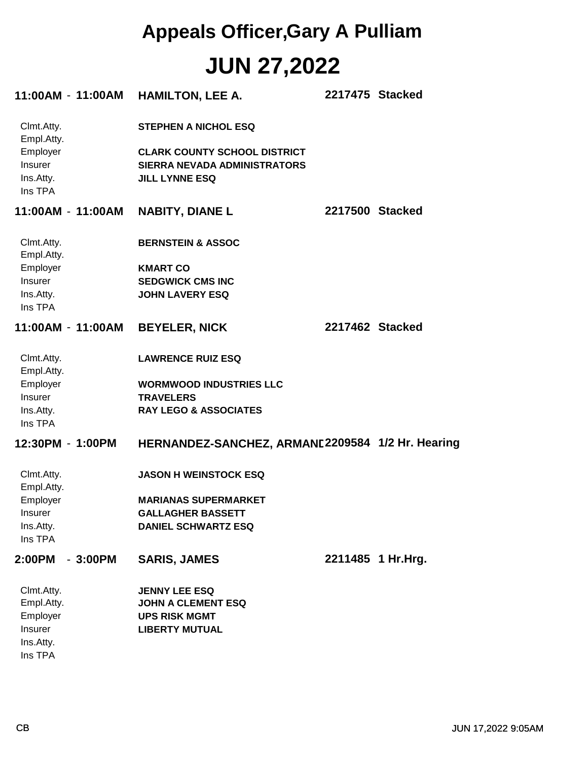|                                             |                   | 11:00AM - 11:00AM HAMILTON, LEE A.                                                           | 2217475 Stacked |                   |
|---------------------------------------------|-------------------|----------------------------------------------------------------------------------------------|-----------------|-------------------|
| Clmt.Atty.<br>Empl.Atty.                    |                   | <b>STEPHEN A NICHOL ESQ</b>                                                                  |                 |                   |
| Employer<br>Insurer<br>Ins.Atty.<br>Ins TPA |                   | <b>CLARK COUNTY SCHOOL DISTRICT</b><br>SIERRA NEVADA ADMINISTRATORS<br><b>JILL LYNNE ESQ</b> |                 |                   |
|                                             | 11:00AM - 11:00AM | <b>NABITY, DIANE L</b>                                                                       |                 | 2217500 Stacked   |
| Clmt.Atty.<br>Empl.Atty.                    |                   | <b>BERNSTEIN &amp; ASSOC</b>                                                                 |                 |                   |
| Employer                                    |                   | <b>KMART CO</b>                                                                              |                 |                   |
| Insurer                                     |                   | <b>SEDGWICK CMS INC</b>                                                                      |                 |                   |
| Ins.Atty.<br>Ins TPA                        |                   | <b>JOHN LAVERY ESQ</b>                                                                       |                 |                   |
|                                             | 11:00AM - 11:00AM | <b>BEYELER, NICK</b>                                                                         | 2217462 Stacked |                   |
| Clmt.Atty.<br>Empl.Atty.                    |                   | <b>LAWRENCE RUIZ ESQ</b>                                                                     |                 |                   |
| Employer                                    |                   | <b>WORMWOOD INDUSTRIES LLC</b>                                                               |                 |                   |
| Insurer                                     |                   | <b>TRAVELERS</b>                                                                             |                 |                   |
| Ins.Atty.<br>Ins TPA                        |                   | <b>RAY LEGO &amp; ASSOCIATES</b>                                                             |                 |                   |
| 12:30PM - 1:00PM                            |                   | HERNANDEZ-SANCHEZ, ARMANE2209584 1/2 Hr. Hearing                                             |                 |                   |
| Clmt.Atty.<br>Empl.Atty.                    |                   | <b>JASON H WEINSTOCK ESQ</b>                                                                 |                 |                   |
| Employer                                    |                   | <b>MARIANAS SUPERMARKET</b>                                                                  |                 |                   |
| Insurer                                     |                   | <b>GALLAGHER BASSETT</b>                                                                     |                 |                   |
| Ins.Atty.<br>Ins TPA                        |                   | <b>DANIEL SCHWARTZ ESQ</b>                                                                   |                 |                   |
| 2:00PM                                      | $-3:00PM$         | <b>SARIS, JAMES</b>                                                                          |                 | 2211485 1 Hr.Hrg. |
| Clmt.Atty.                                  |                   | <b>JENNY LEE ESQ</b>                                                                         |                 |                   |
| Empl.Atty.                                  |                   | <b>JOHN A CLEMENT ESQ</b>                                                                    |                 |                   |
| Employer                                    |                   | <b>UPS RISK MGMT</b>                                                                         |                 |                   |
| Insurer                                     |                   | <b>LIBERTY MUTUAL</b>                                                                        |                 |                   |
| Ins.Atty.                                   |                   |                                                                                              |                 |                   |
| Ins TPA                                     |                   |                                                                                              |                 |                   |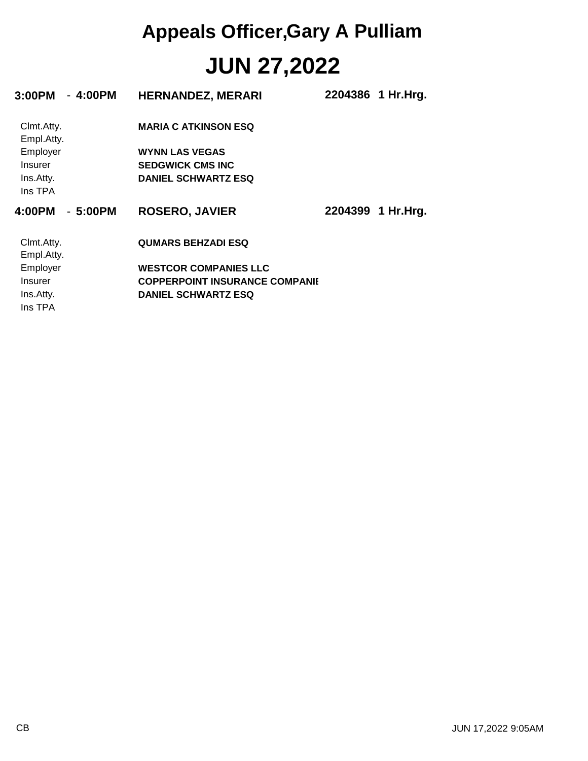| 3:00PM                   | $-4:00PM$ | <b>HERNANDEZ, MERARI</b>              | 2204386 1 Hr.Hrg. |
|--------------------------|-----------|---------------------------------------|-------------------|
| Clmt.Atty.<br>Empl.Atty. |           | <b>MARIA C ATKINSON ESQ</b>           |                   |
| Employer                 |           | <b>WYNN LAS VEGAS</b>                 |                   |
| Insurer                  |           | <b>SEDGWICK CMS INC</b>               |                   |
| Ins.Atty.<br>Ins TPA     |           | <b>DANIEL SCHWARTZ ESQ</b>            |                   |
| 4:00PM                   | $-5:00PM$ | <b>ROSERO, JAVIER</b>                 | 2204399 1 Hr.Hrg. |
| Clmt.Atty.<br>Empl.Atty. |           | <b>QUMARS BEHZADI ESQ</b>             |                   |
| Employer                 |           | <b>WESTCOR COMPANIES LLC</b>          |                   |
| Insurer                  |           | <b>COPPERPOINT INSURANCE COMPANIE</b> |                   |
| Ins.Atty.                |           | <b>DANIEL SCHWARTZ ESQ</b>            |                   |
| Ins TPA                  |           |                                       |                   |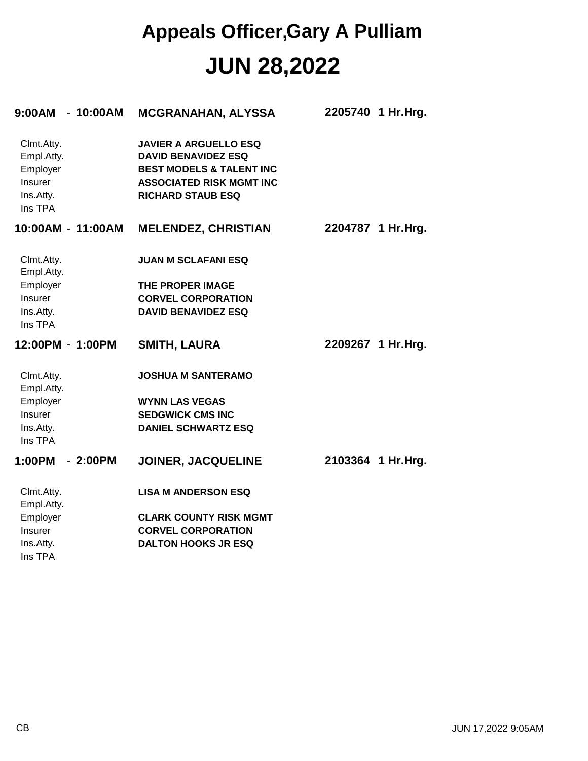| 9:00AM<br>$-10:00AM$                                                    | <b>MCGRANAHAN, ALYSSA</b>                                                                                                                                        | 2205740<br>1 Hr.Hrg. |
|-------------------------------------------------------------------------|------------------------------------------------------------------------------------------------------------------------------------------------------------------|----------------------|
| Clmt.Atty.<br>Empl.Atty.<br>Employer<br>Insurer<br>Ins.Atty.<br>Ins TPA | <b>JAVIER A ARGUELLO ESQ</b><br><b>DAVID BENAVIDEZ ESQ</b><br><b>BEST MODELS &amp; TALENT INC</b><br><b>ASSOCIATED RISK MGMT INC</b><br><b>RICHARD STAUB ESQ</b> |                      |
| 10:00AM - 11:00AM                                                       | <b>MELENDEZ, CHRISTIAN</b>                                                                                                                                       | 2204787 1 Hr.Hrg.    |
| Clmt.Atty.<br>Empl.Atty.                                                | <b>JUAN M SCLAFANI ESQ</b>                                                                                                                                       |                      |
| Employer                                                                | THE PROPER IMAGE                                                                                                                                                 |                      |
| <b>Insurer</b>                                                          | <b>CORVEL CORPORATION</b>                                                                                                                                        |                      |
| Ins.Atty.<br>Ins TPA                                                    | <b>DAVID BENAVIDEZ ESQ</b>                                                                                                                                       |                      |
| 12:00PM - 1:00PM                                                        | <b>SMITH, LAURA</b>                                                                                                                                              | 2209267 1 Hr.Hrg.    |
| Clmt.Atty.<br>Empl.Atty.                                                | <b>JOSHUA M SANTERAMO</b>                                                                                                                                        |                      |
| Employer                                                                | <b>WYNN LAS VEGAS</b>                                                                                                                                            |                      |
| Insurer                                                                 | <b>SEDGWICK CMS INC</b>                                                                                                                                          |                      |
| Ins.Atty.<br>Ins TPA                                                    | <b>DANIEL SCHWARTZ ESQ</b>                                                                                                                                       |                      |
| 1:00PM<br>$-2:00PM$                                                     | <b>JOINER, JACQUELINE</b>                                                                                                                                        | 2103364 1 Hr.Hrg.    |
| Clmt.Atty.<br>Empl.Atty.                                                | <b>LISA M ANDERSON ESQ</b>                                                                                                                                       |                      |
| Employer                                                                | <b>CLARK COUNTY RISK MGMT</b>                                                                                                                                    |                      |
| Insurer                                                                 | <b>CORVEL CORPORATION</b>                                                                                                                                        |                      |
| Ins.Atty.<br>Ins TPA                                                    | <b>DALTON HOOKS JR ESQ</b>                                                                                                                                       |                      |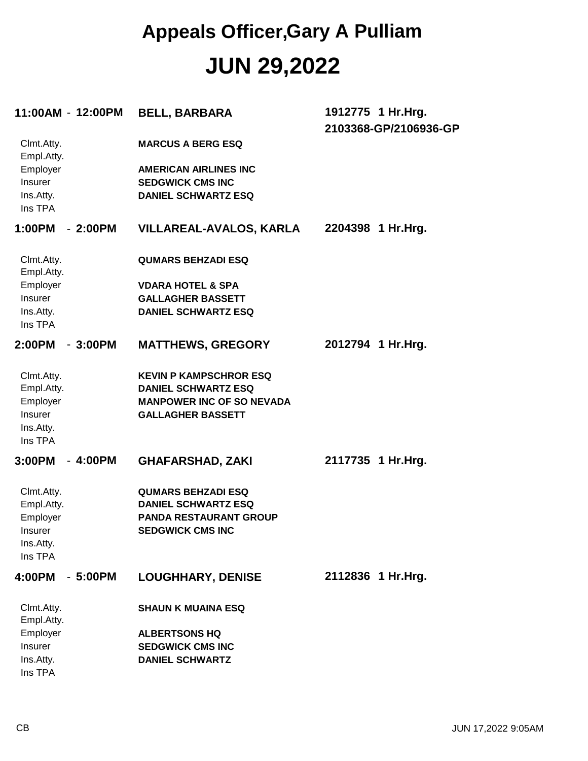|                          | 11:00AM - 12:00PM | <b>BELL, BARBARA</b>             | 1912775 1 Hr.Hrg.<br>2103368-GP/2106936-GP |
|--------------------------|-------------------|----------------------------------|--------------------------------------------|
| Clmt.Atty.<br>Empl.Atty. |                   | <b>MARCUS A BERG ESQ</b>         |                                            |
| Employer                 |                   | <b>AMERICAN AIRLINES INC</b>     |                                            |
| Insurer                  |                   | <b>SEDGWICK CMS INC</b>          |                                            |
| Ins.Atty.<br>Ins TPA     |                   | <b>DANIEL SCHWARTZ ESQ</b>       |                                            |
| 1:00PM                   | $-2:00PM$         | <b>VILLAREAL-AVALOS, KARLA</b>   | 2204398 1 Hr.Hrg.                          |
| Clmt.Atty.<br>Empl.Atty. |                   | <b>QUMARS BEHZADI ESQ</b>        |                                            |
| Employer                 |                   | <b>VDARA HOTEL &amp; SPA</b>     |                                            |
| Insurer                  |                   | <b>GALLAGHER BASSETT</b>         |                                            |
| Ins.Atty.                |                   | <b>DANIEL SCHWARTZ ESQ</b>       |                                            |
| Ins TPA                  |                   |                                  |                                            |
| 2:00PM                   | $-3:00PM$         | <b>MATTHEWS, GREGORY</b>         | 2012794 1 Hr.Hrg.                          |
| Clmt.Atty.               |                   | <b>KEVIN P KAMPSCHROR ESQ</b>    |                                            |
| Empl.Atty.               |                   | <b>DANIEL SCHWARTZ ESQ</b>       |                                            |
| Employer                 |                   | <b>MANPOWER INC OF SO NEVADA</b> |                                            |
| Insurer                  |                   | <b>GALLAGHER BASSETT</b>         |                                            |
| Ins.Atty.                |                   |                                  |                                            |
| Ins TPA                  |                   |                                  |                                            |
| 3:00PM                   | $-4:00PM$         | <b>GHAFARSHAD, ZAKI</b>          | 2117735 1 Hr. Hrg.                         |
| Clmt.Atty.               |                   | <b>QUMARS BEHZADI ESQ</b>        |                                            |
| Empl.Atty.               |                   | <b>DANIEL SCHWARTZ ESQ</b>       |                                            |
| Employer                 |                   | <b>PANDA RESTAURANT GROUP</b>    |                                            |
| Insurer                  |                   | <b>SEDGWICK CMS INC</b>          |                                            |
| Ins.Atty.<br>Ins TPA     |                   |                                  |                                            |
|                          |                   |                                  |                                            |
| 4:00PM                   | $-5:00PM$         | <b>LOUGHHARY, DENISE</b>         | 2112836 1 Hr.Hrg.                          |
| Clmt.Atty.<br>Empl.Atty. |                   | <b>SHAUN K MUAINA ESQ</b>        |                                            |
| Employer                 |                   | <b>ALBERTSONS HQ</b>             |                                            |
| Insurer                  |                   | <b>SEDGWICK CMS INC</b>          |                                            |
| Ins.Atty.                |                   | <b>DANIEL SCHWARTZ</b>           |                                            |
| Ins TPA                  |                   |                                  |                                            |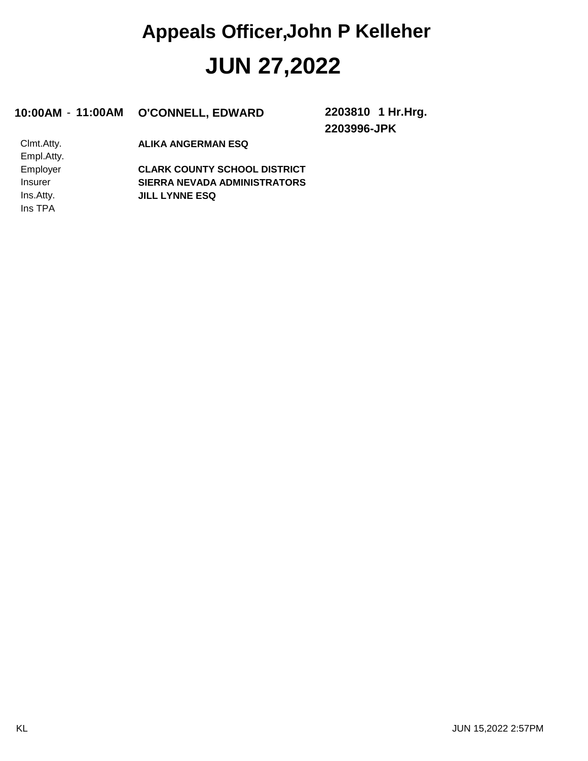#### **10:00AM** - **11:00AM O'CONNELL, EDWARD 2203810**

**2203996-JPK 1 Hr.Hrg.**

Ins TPA Ins.Atty. Insurer Employer Empl.Atty. Clmt.Atty.

**ALIKA ANGERMAN ESQ**

**JILL LYNNE ESQ SIERRA NEVADA ADMINISTRATORS CLARK COUNTY SCHOOL DISTRICT**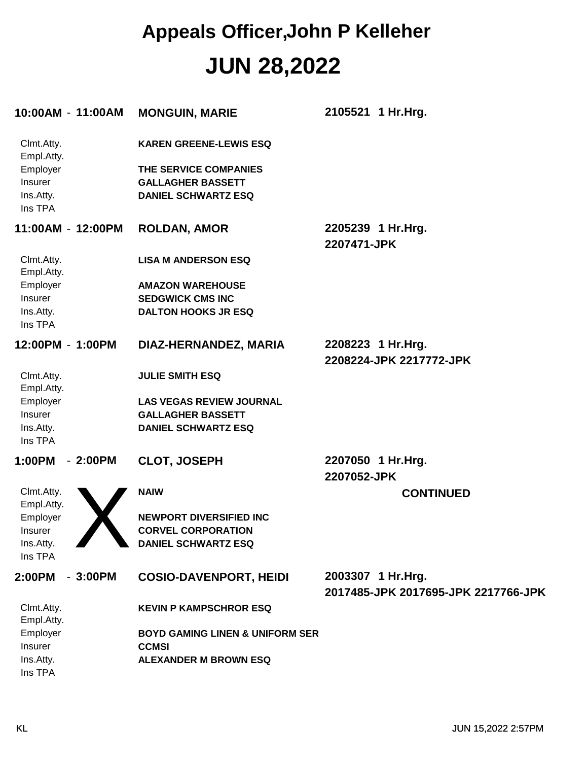| 10:00AM - 11:00AM                                                       |           | <b>MONGUIN, MARIE</b>                                                                                            | 2105521 1 Hr. Hrg.                                       |
|-------------------------------------------------------------------------|-----------|------------------------------------------------------------------------------------------------------------------|----------------------------------------------------------|
| Clmt.Atty.<br>Empl.Atty.<br>Employer<br>Insurer<br>Ins.Atty.<br>Ins TPA |           | <b>KAREN GREENE-LEWIS ESQ</b><br>THE SERVICE COMPANIES<br><b>GALLAGHER BASSETT</b><br><b>DANIEL SCHWARTZ ESQ</b> |                                                          |
| 11:00AM - 12:00PM                                                       |           | <b>ROLDAN, AMOR</b>                                                                                              | 2205239 1 Hr.Hrg.<br>2207471-JPK                         |
| Clmt.Atty.<br>Empl.Atty.                                                |           | <b>LISA M ANDERSON ESQ</b>                                                                                       |                                                          |
| Employer                                                                |           | <b>AMAZON WAREHOUSE</b>                                                                                          |                                                          |
| Insurer                                                                 |           | <b>SEDGWICK CMS INC</b>                                                                                          |                                                          |
| Ins.Atty.                                                               |           | <b>DALTON HOOKS JR ESQ</b>                                                                                       |                                                          |
| Ins TPA                                                                 |           |                                                                                                                  |                                                          |
| 12:00PM - 1:00PM                                                        |           | DIAZ-HERNANDEZ, MARIA                                                                                            | 2208223 1 Hr. Hrg.                                       |
|                                                                         |           |                                                                                                                  | 2208224-JPK 2217772-JPK                                  |
| Clmt.Atty.<br>Empl.Atty.                                                |           | <b>JULIE SMITH ESQ</b>                                                                                           |                                                          |
| Employer                                                                |           | <b>LAS VEGAS REVIEW JOURNAL</b>                                                                                  |                                                          |
| Insurer                                                                 |           | <b>GALLAGHER BASSETT</b>                                                                                         |                                                          |
| Ins.Atty.                                                               |           | <b>DANIEL SCHWARTZ ESQ</b>                                                                                       |                                                          |
| Ins TPA                                                                 |           |                                                                                                                  |                                                          |
| 1:00PM                                                                  | $-2:00PM$ | <b>CLOT, JOSEPH</b>                                                                                              | 2207050 1 Hr.Hrg.<br>2207052-JPK                         |
| Clmt.Atty.<br>Empl.Atty.                                                |           | <b>NAIW</b>                                                                                                      | <b>CONTINUED</b>                                         |
| Employer                                                                |           | <b>NEWPORT DIVERSIFIED INC</b>                                                                                   |                                                          |
| <b>Insurer</b>                                                          |           | <b>CORVEL CORPORATION</b>                                                                                        |                                                          |
| Ins.Atty.                                                               |           | <b>DANIEL SCHWARTZ ESQ</b>                                                                                       |                                                          |
| Ins TPA                                                                 |           |                                                                                                                  |                                                          |
| 2:00PM                                                                  | $-3:00PM$ | <b>COSIO-DAVENPORT, HEIDI</b>                                                                                    | 2003307 1 Hr.Hrg.<br>2017485-JPK 2017695-JPK 2217766-JPK |
| Clmt.Atty.<br>Empl.Atty.                                                |           | <b>KEVIN P KAMPSCHROR ESQ</b>                                                                                    |                                                          |
| Employer                                                                |           | <b>BOYD GAMING LINEN &amp; UNIFORM SER</b>                                                                       |                                                          |
| Insurer                                                                 |           | <b>CCMSI</b>                                                                                                     |                                                          |
| Ins.Atty.                                                               |           | <b>ALEXANDER M BROWN ESQ</b>                                                                                     |                                                          |
| Ins TPA                                                                 |           |                                                                                                                  |                                                          |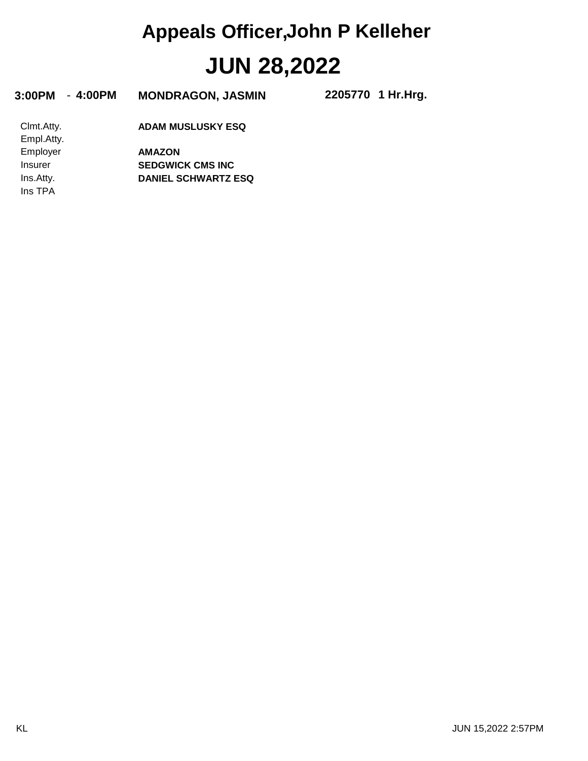| 3:00PM<br>- 4:00PM       | <b>MONDRAGON, JASMIN</b>   | 2205770 1 Hr.Hrg. |
|--------------------------|----------------------------|-------------------|
| Clmt.Atty.<br>Empl.Atty. | <b>ADAM MUSLUSKY ESQ</b>   |                   |
| Employer                 | <b>AMAZON</b>              |                   |
| Insurer                  | <b>SEDGWICK CMS INC</b>    |                   |
| Ins.Atty.                | <b>DANIEL SCHWARTZ ESQ</b> |                   |
| Ins TPA                  |                            |                   |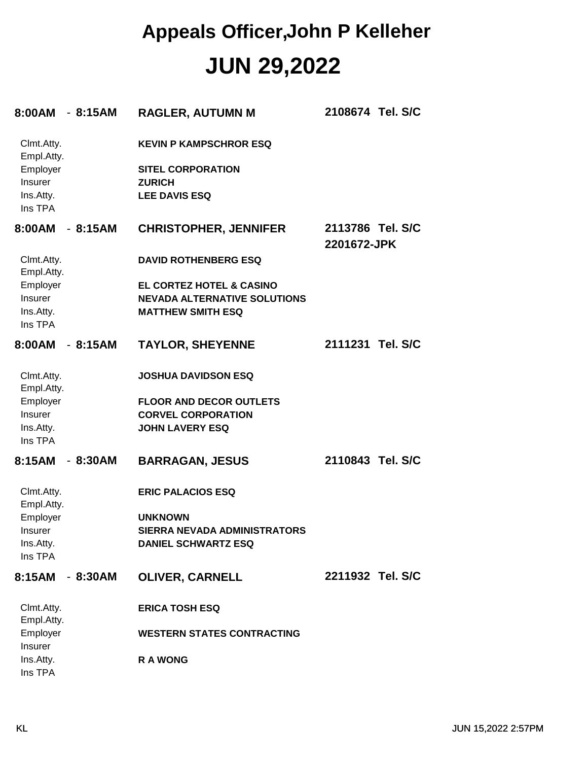| 8:00AM                   | $-8:15AM$ | <b>RAGLER, AUTUMN M</b>               | 2108674 Tel. S/C                |
|--------------------------|-----------|---------------------------------------|---------------------------------|
| Clmt.Atty.<br>Empl.Atty. |           | <b>KEVIN P KAMPSCHROR ESQ</b>         |                                 |
| Employer                 |           | <b>SITEL CORPORATION</b>              |                                 |
| Insurer<br>Ins.Atty.     |           | <b>ZURICH</b><br><b>LEE DAVIS ESQ</b> |                                 |
| Ins TPA                  |           |                                       |                                 |
| 8:00AM                   | $-8:15AM$ | <b>CHRISTOPHER, JENNIFER</b>          | 2113786 Tel. S/C<br>2201672-JPK |
| Clmt.Atty.<br>Empl.Atty. |           | <b>DAVID ROTHENBERG ESQ</b>           |                                 |
| Employer                 |           | EL CORTEZ HOTEL & CASINO              |                                 |
| Insurer                  |           | <b>NEVADA ALTERNATIVE SOLUTIONS</b>   |                                 |
| Ins.Atty.                |           | <b>MATTHEW SMITH ESQ</b>              |                                 |
| Ins TPA                  |           |                                       |                                 |
| 8:00AM                   | $-8:15AM$ | <b>TAYLOR, SHEYENNE</b>               | 2111231 Tel. S/C                |
| Clmt.Atty.<br>Empl.Atty. |           | <b>JOSHUA DAVIDSON ESQ</b>            |                                 |
| Employer                 |           | <b>FLOOR AND DECOR OUTLETS</b>        |                                 |
| Insurer                  |           | <b>CORVEL CORPORATION</b>             |                                 |
| Ins.Atty.<br>Ins TPA     |           | <b>JOHN LAVERY ESQ</b>                |                                 |
| 8:15AM                   | $-8:30AM$ | <b>BARRAGAN, JESUS</b>                | 2110843 Tel. S/C                |
| Clmt.Atty.<br>Empl.Atty. |           | <b>ERIC PALACIOS ESQ</b>              |                                 |
| Employer                 |           | <b>UNKNOWN</b>                        |                                 |
| Insurer                  |           | <b>SIERRA NEVADA ADMINISTRATORS</b>   |                                 |
| Ins.Atty.                |           | <b>DANIEL SCHWARTZ ESQ</b>            |                                 |
| Ins TPA                  |           |                                       |                                 |
| 8:15AM                   | $-8:30AM$ | <b>OLIVER, CARNELL</b>                | 2211932 Tel. S/C                |
| Clmt.Atty.<br>Empl.Atty. |           | <b>ERICA TOSH ESQ</b>                 |                                 |
| Employer<br>Insurer      |           | <b>WESTERN STATES CONTRACTING</b>     |                                 |
| Ins.Atty.<br>Ins TPA     |           | <b>RA WONG</b>                        |                                 |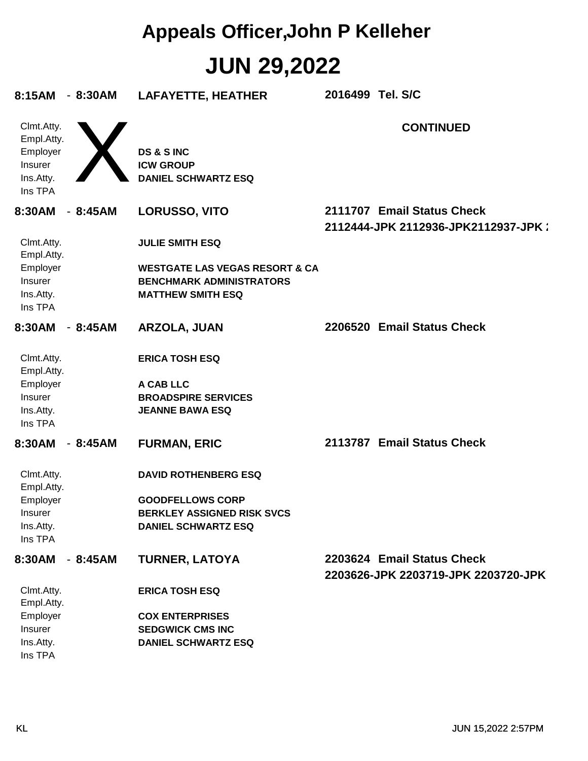| 8:15AM - 8:30AM                                                         |           | <b>LAFAYETTE, HEATHER</b>                                                                                                 | 2016499 Tel. S/C |                                                                   |
|-------------------------------------------------------------------------|-----------|---------------------------------------------------------------------------------------------------------------------------|------------------|-------------------------------------------------------------------|
| Clmt.Atty.<br>Empl.Atty.<br>Employer<br>Insurer<br>Ins.Atty.<br>Ins TPA |           | <b>DS &amp; S INC</b><br><b>ICW GROUP</b><br><b>DANIEL SCHWARTZ ESQ</b>                                                   |                  | <b>CONTINUED</b>                                                  |
| 8:30AM                                                                  | $-8:45AM$ | LORUSSO, VITO                                                                                                             |                  | 2111707 Email Status Check<br>2112444-JPK 2112936-JPK2112937-JPK: |
| Clmt.Atty.<br>Empl.Atty.                                                |           | <b>JULIE SMITH ESQ</b>                                                                                                    |                  |                                                                   |
| Employer<br>Insurer<br>Ins.Atty.<br>Ins TPA                             |           | <b>WESTGATE LAS VEGAS RESORT &amp; CA</b><br><b>BENCHMARK ADMINISTRATORS</b><br><b>MATTHEW SMITH ESQ</b>                  |                  |                                                                   |
| 8:30AM                                                                  | - 8:45AM  | ARZOLA, JUAN                                                                                                              |                  | 2206520 Email Status Check                                        |
| Clmt.Atty.<br>Empl.Atty.<br>Employer<br>Insurer<br>Ins.Atty.<br>Ins TPA |           | <b>ERICA TOSH ESQ</b><br>A CAB LLC<br><b>BROADSPIRE SERVICES</b><br><b>JEANNE BAWA ESQ</b>                                |                  |                                                                   |
| 8:30AM                                                                  | - 8:45AM  | <b>FURMAN, ERIC</b>                                                                                                       |                  | 2113787 Email Status Check                                        |
| Clmt.Atty.<br>Empl.Atty.<br>Employer<br>Insurer<br>Ins.Atty.<br>Ins TPA |           | <b>DAVID ROTHENBERG ESQ</b><br><b>GOODFELLOWS CORP</b><br><b>BERKLEY ASSIGNED RISK SVCS</b><br><b>DANIEL SCHWARTZ ESQ</b> |                  |                                                                   |
| 8:30AM - 8:45AM                                                         |           | <b>TURNER, LATOYA</b>                                                                                                     |                  | 2203624 Email Status Check<br>2203626-JPK 2203719-JPK 2203720-JPK |
| Clmt.Atty.<br>Empl.Atty.<br>Employer<br>Insurer<br>Ins.Atty.<br>Ins TPA |           | <b>ERICA TOSH ESQ</b><br><b>COX ENTERPRISES</b><br><b>SEDGWICK CMS INC</b><br><b>DANIEL SCHWARTZ ESQ</b>                  |                  |                                                                   |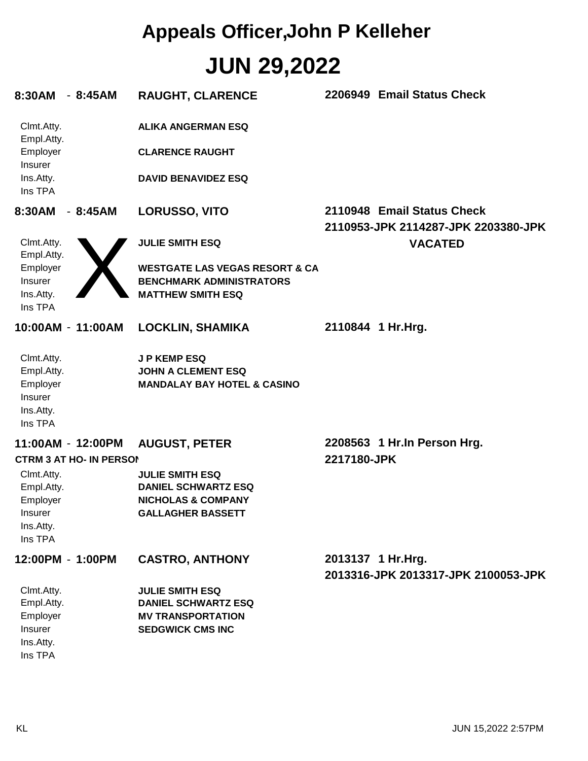| $-8:45AM$<br>8:30AM                                                                                       | <b>RAUGHT, CLARENCE</b>                                                                                           | 2206949 Email Status Check                                        |
|-----------------------------------------------------------------------------------------------------------|-------------------------------------------------------------------------------------------------------------------|-------------------------------------------------------------------|
| Clmt.Atty.<br>Empl.Atty.                                                                                  | <b>ALIKA ANGERMAN ESQ</b>                                                                                         |                                                                   |
| Employer<br><b>Insurer</b>                                                                                | <b>CLARENCE RAUGHT</b>                                                                                            |                                                                   |
| Ins.Atty.<br>Ins TPA                                                                                      | <b>DAVID BENAVIDEZ ESQ</b>                                                                                        |                                                                   |
| 8:30AM<br>$-8:45AM$                                                                                       | <b>LORUSSO, VITO</b>                                                                                              | 2110948 Email Status Check<br>2110953-JPK 2114287-JPK 2203380-JPK |
| Clmt.Atty.<br>Empl.Atty.                                                                                  | <b>JULIE SMITH ESQ</b>                                                                                            | <b>VACATED</b>                                                    |
| Employer<br>Insurer<br>Ins.Atty.<br>Ins TPA                                                               | <b>WESTGATE LAS VEGAS RESORT &amp; CA</b><br><b>BENCHMARK ADMINISTRATORS</b><br><b>MATTHEW SMITH ESQ</b>          |                                                                   |
| 10:00AM - 11:00AM                                                                                         | <b>LOCKLIN, SHAMIKA</b>                                                                                           | 2110844 1 Hr. Hrg.                                                |
| Clmt.Atty.<br>Empl.Atty.<br>Employer<br>Insurer<br>Ins.Atty.<br>Ins TPA                                   | <b>JP KEMP ESQ</b><br><b>JOHN A CLEMENT ESQ</b><br><b>MANDALAY BAY HOTEL &amp; CASINO</b>                         |                                                                   |
| 11:00AM - 12:00PM                                                                                         | <b>AUGUST, PETER</b>                                                                                              | 2208563 1 Hr.In Person Hrg.                                       |
| <b>CTRM 3 AT HO- IN PERSON</b><br>Clmt.Atty.<br>Empl.Atty.<br>Employer<br>Insurer<br>Ins.Atty.<br>Ins TPA | <b>JULIE SMITH ESQ</b><br><b>DANIEL SCHWARTZ ESQ</b><br><b>NICHOLAS &amp; COMPANY</b><br><b>GALLAGHER BASSETT</b> | 2217180-JPK                                                       |
| 12:00PM - 1:00PM                                                                                          | <b>CASTRO, ANTHONY</b>                                                                                            | 2013137 1 Hr.Hrg.<br>2013316-JPK 2013317-JPK 2100053-JPK          |
| Clmt.Atty.<br>Empl.Atty.<br>Employer<br>Insurer<br>Ins.Atty.<br>Ins TPA                                   | <b>JULIE SMITH ESQ</b><br><b>DANIEL SCHWARTZ ESQ</b><br><b>MV TRANSPORTATION</b><br><b>SEDGWICK CMS INC</b>       |                                                                   |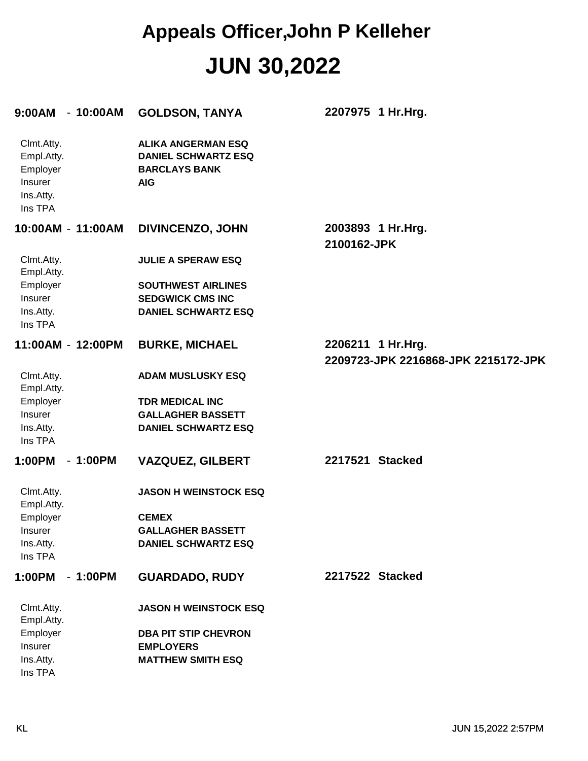| 9:00AM - 10:00AM                                                        | <b>GOLDSON, TANYA</b>                                                                         | 2207975 1 Hr.Hrg.                                        |
|-------------------------------------------------------------------------|-----------------------------------------------------------------------------------------------|----------------------------------------------------------|
| Clmt.Atty.<br>Empl.Atty.<br>Employer<br>Insurer<br>Ins.Atty.<br>Ins TPA | <b>ALIKA ANGERMAN ESQ</b><br><b>DANIEL SCHWARTZ ESQ</b><br><b>BARCLAYS BANK</b><br><b>AIG</b> |                                                          |
| 10:00AM - 11:00AM                                                       | <b>DIVINCENZO, JOHN</b>                                                                       | 2003893 1 Hr.Hrg.<br>2100162-JPK                         |
| Clmt.Atty.<br>Empl.Atty.                                                | <b>JULIE A SPERAW ESQ</b>                                                                     |                                                          |
| Employer<br>Insurer                                                     | <b>SOUTHWEST AIRLINES</b><br><b>SEDGWICK CMS INC</b>                                          |                                                          |
| Ins.Atty.<br>Ins TPA                                                    | <b>DANIEL SCHWARTZ ESQ</b>                                                                    |                                                          |
| 11:00AM - 12:00PM                                                       | <b>BURKE, MICHAEL</b>                                                                         | 2206211 1 Hr.Hrg.<br>2209723-JPK 2216868-JPK 2215172-JPK |
| Clmt.Atty.<br>Empl.Atty.                                                | <b>ADAM MUSLUSKY ESQ</b>                                                                      |                                                          |
| Employer                                                                | <b>TDR MEDICAL INC</b>                                                                        |                                                          |
| Insurer<br>Ins.Atty.<br>Ins TPA                                         | <b>GALLAGHER BASSETT</b><br><b>DANIEL SCHWARTZ ESQ</b>                                        |                                                          |
| 1:00PM<br>$-1:00PM$                                                     | <b>VAZQUEZ, GILBERT</b>                                                                       | 2217521 Stacked                                          |
| Clmt.Atty.<br>Empl.Atty.                                                | <b>JASON H WEINSTOCK ESQ</b>                                                                  |                                                          |
| Employer                                                                | <b>CEMEX</b>                                                                                  |                                                          |
| Insurer<br>Ins.Atty.                                                    | <b>GALLAGHER BASSETT</b><br><b>DANIEL SCHWARTZ ESQ</b>                                        |                                                          |
| Ins TPA                                                                 |                                                                                               |                                                          |
| 1:00PM<br>$-1:00PM$                                                     | <b>GUARDADO, RUDY</b>                                                                         | 2217522 Stacked                                          |
| Clmt.Atty.<br>Empl.Atty.                                                | <b>JASON H WEINSTOCK ESQ</b>                                                                  |                                                          |
| Employer                                                                | <b>DBA PIT STIP CHEVRON</b>                                                                   |                                                          |
| Insurer<br>Ins.Atty.                                                    | <b>EMPLOYERS</b><br><b>MATTHEW SMITH ESQ</b>                                                  |                                                          |
| Ins TPA                                                                 |                                                                                               |                                                          |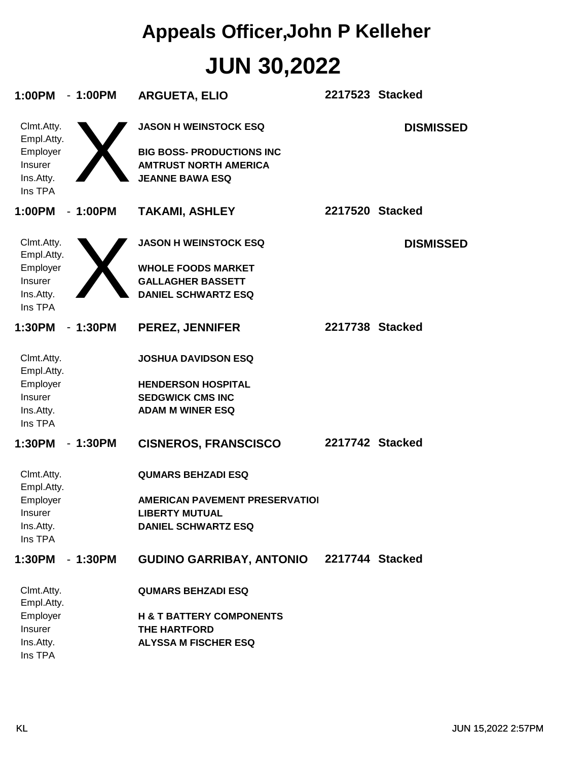| 1:00PM                                                                  | $-1:00PM$ | <b>ARGUETA, ELIO</b>                                                                                                       | 2217523 Stacked |                  |
|-------------------------------------------------------------------------|-----------|----------------------------------------------------------------------------------------------------------------------------|-----------------|------------------|
| Clmt.Atty.<br>Empl.Atty.<br>Employer<br>Insurer<br>Ins.Atty.<br>Ins TPA |           | <b>JASON H WEINSTOCK ESQ</b><br><b>BIG BOSS- PRODUCTIONS INC</b><br><b>AMTRUST NORTH AMERICA</b><br><b>JEANNE BAWA ESQ</b> |                 | <b>DISMISSED</b> |
| 1:00PM                                                                  | $-1:00PM$ | <b>TAKAMI, ASHLEY</b>                                                                                                      | 2217520 Stacked |                  |
| Clmt.Atty.<br>Empl.Atty.<br>Employer<br>Insurer<br>Ins.Atty.<br>Ins TPA |           | <b>JASON H WEINSTOCK ESQ</b><br><b>WHOLE FOODS MARKET</b><br><b>GALLAGHER BASSETT</b><br><b>DANIEL SCHWARTZ ESQ</b>        |                 | <b>DISMISSED</b> |
| 1:30PM                                                                  | $-1:30PM$ | <b>PEREZ, JENNIFER</b>                                                                                                     | 2217738 Stacked |                  |
| Clmt.Atty.<br>Empl.Atty.<br>Employer<br>Insurer<br>Ins.Atty.<br>Ins TPA |           | <b>JOSHUA DAVIDSON ESQ</b><br><b>HENDERSON HOSPITAL</b><br><b>SEDGWICK CMS INC</b><br><b>ADAM M WINER ESQ</b>              |                 |                  |
| 1:30PM                                                                  | $-1:30PM$ | <b>CISNEROS, FRANSCISCO</b>                                                                                                | 2217742 Stacked |                  |
| Clmt.Atty.<br>Empl.Atty.<br>Employer<br>Insurer<br>Ins.Atty.<br>Ins TPA |           | <b>QUMARS BEHZADI ESQ</b><br><b>AMERICAN PAVEMENT PRESERVATIOI</b><br><b>LIBERTY MUTUAL</b><br><b>DANIEL SCHWARTZ ESQ</b>  |                 |                  |
| 1:30PM                                                                  | $-1:30PM$ | <b>GUDINO GARRIBAY, ANTONIO</b>                                                                                            | 2217744 Stacked |                  |
| Clmt.Atty.<br>Empl.Atty.<br>Employer<br>Insurer<br>Ins.Atty.<br>Ins TPA |           | <b>QUMARS BEHZADI ESQ</b><br><b>H &amp; T BATTERY COMPONENTS</b><br><b>THE HARTFORD</b><br><b>ALYSSA M FISCHER ESQ</b>     |                 |                  |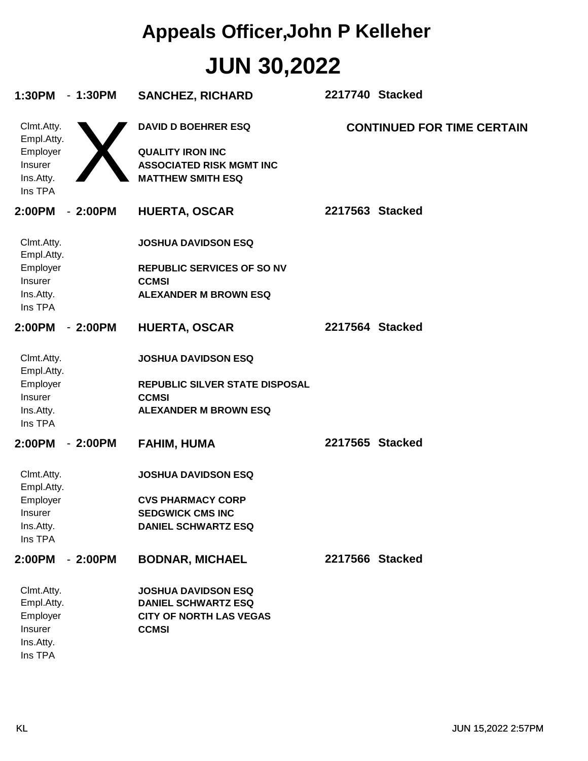| 1:30PM<br>$-1:30PM$      | <b>SANCHEZ, RICHARD</b>           | 2217740 Stacked                   |
|--------------------------|-----------------------------------|-----------------------------------|
| Clmt.Atty.<br>Empl.Atty. | <b>DAVID D BOEHRER ESQ</b>        | <b>CONTINUED FOR TIME CERTAIN</b> |
| Employer                 | <b>QUALITY IRON INC</b>           |                                   |
| Insurer                  | <b>ASSOCIATED RISK MGMT INC</b>   |                                   |
| Ins.Atty.<br>Ins TPA     | <b>MATTHEW SMITH ESQ</b>          |                                   |
|                          |                                   |                                   |
| $-2:00PM$<br>2:00PM      | <b>HUERTA, OSCAR</b>              | 2217563 Stacked                   |
| Clmt.Atty.<br>Empl.Atty. | <b>JOSHUA DAVIDSON ESQ</b>        |                                   |
| Employer                 | <b>REPUBLIC SERVICES OF SO NV</b> |                                   |
| <b>Insurer</b>           | <b>CCMSI</b>                      |                                   |
| Ins.Atty.<br>Ins TPA     | <b>ALEXANDER M BROWN ESQ</b>      |                                   |
| 2:00PM<br>$-2:00PM$      | <b>HUERTA, OSCAR</b>              | 2217564 Stacked                   |
| Clmt.Atty.<br>Empl.Atty. | <b>JOSHUA DAVIDSON ESQ</b>        |                                   |
| Employer                 | REPUBLIC SILVER STATE DISPOSAL    |                                   |
| Insurer                  | <b>CCMSI</b>                      |                                   |
| Ins.Atty.<br>Ins TPA     | <b>ALEXANDER M BROWN ESQ</b>      |                                   |
| 2:00PM<br>$-2:00PM$      | <b>FAHIM, HUMA</b>                | 2217565 Stacked                   |
| Clmt.Atty.<br>Empl.Atty. | <b>JOSHUA DAVIDSON ESQ</b>        |                                   |
| Employer                 | <b>CVS PHARMACY CORP</b>          |                                   |
| Insurer                  | <b>SEDGWICK CMS INC</b>           |                                   |
| Ins.Atty.<br>Ins TPA     | <b>DANIEL SCHWARTZ ESQ</b>        |                                   |
| 2:00PM<br>$-2:00PM$      | <b>BODNAR, MICHAEL</b>            | 2217566 Stacked                   |
| Clmt.Atty.               | <b>JOSHUA DAVIDSON ESQ</b>        |                                   |
| Empl.Atty.               | <b>DANIEL SCHWARTZ ESQ</b>        |                                   |
| Employer                 | <b>CITY OF NORTH LAS VEGAS</b>    |                                   |
| Insurer<br>Ins.Atty.     | <b>CCMSI</b>                      |                                   |
| Ins TPA                  |                                   |                                   |
|                          |                                   |                                   |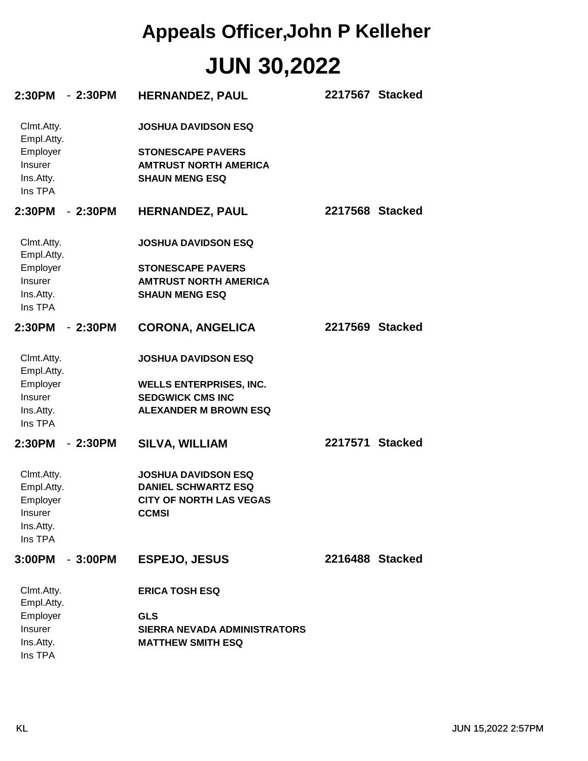| 2:30PM                                                                         | $-2:30PM$ | HERNANDEZ, PAUL                                                                                                         | 2217567 Stacked |  |
|--------------------------------------------------------------------------------|-----------|-------------------------------------------------------------------------------------------------------------------------|-----------------|--|
| Clmt.Atty.<br>Empl.Atty.<br>Employer<br>Insurer<br>Ins.Atty.<br>Ins TPA        |           | <b>JOSHUA DAVIDSON ESQ</b><br><b>STONESCAPE PAVERS</b><br><b>AMTRUST NORTH AMERICA</b><br><b>SHAUN MENG ESQ</b>         |                 |  |
| 2:30PM                                                                         | $-2:30PM$ | <b>HERNANDEZ, PAUL</b>                                                                                                  | 2217568 Stacked |  |
| Clmt.Atty.<br>Empl.Atty.                                                       |           | <b>JOSHUA DAVIDSON ESQ</b>                                                                                              |                 |  |
| Employer<br>Insurer<br>Ins.Atty.<br>Ins TPA                                    |           | <b>STONESCAPE PAVERS</b><br><b>AMTRUST NORTH AMERICA</b><br><b>SHAUN MENG ESQ</b>                                       |                 |  |
| 2:30PM                                                                         | $-2:30PM$ | <b>CORONA, ANGELICA</b>                                                                                                 | 2217569 Stacked |  |
| Clmt.Atty.<br>Empl.Atty.<br>Employer<br><b>Insurer</b><br>Ins.Atty.<br>Ins TPA |           | <b>JOSHUA DAVIDSON ESQ</b><br><b>WELLS ENTERPRISES, INC.</b><br><b>SEDGWICK CMS INC</b><br><b>ALEXANDER M BROWN ESQ</b> |                 |  |
| 2:30PM                                                                         | $-2:30PM$ | <b>SILVA, WILLIAM</b>                                                                                                   | 2217571 Stacked |  |
| Clmt.Atty.<br>Empl.Atty.<br>Employer<br><b>Insurer</b><br>Ins.Atty.<br>Ins TPA |           | <b>JOSHUA DAVIDSON ESQ</b><br><b>DANIEL SCHWARTZ ESQ</b><br><b>CITY OF NORTH LAS VEGAS</b><br><b>CCMSI</b>              |                 |  |
| 3:00PM                                                                         | $-3:00PM$ | <b>ESPEJO, JESUS</b>                                                                                                    | 2216488 Stacked |  |
| Clmt.Atty.<br>Empl.Atty.<br>Employer<br>Insurer<br>Ins.Atty.<br>Ins TPA        |           | <b>ERICA TOSH ESQ</b><br><b>GLS</b><br><b>SIERRA NEVADA ADMINISTRATORS</b><br><b>MATTHEW SMITH ESQ</b>                  |                 |  |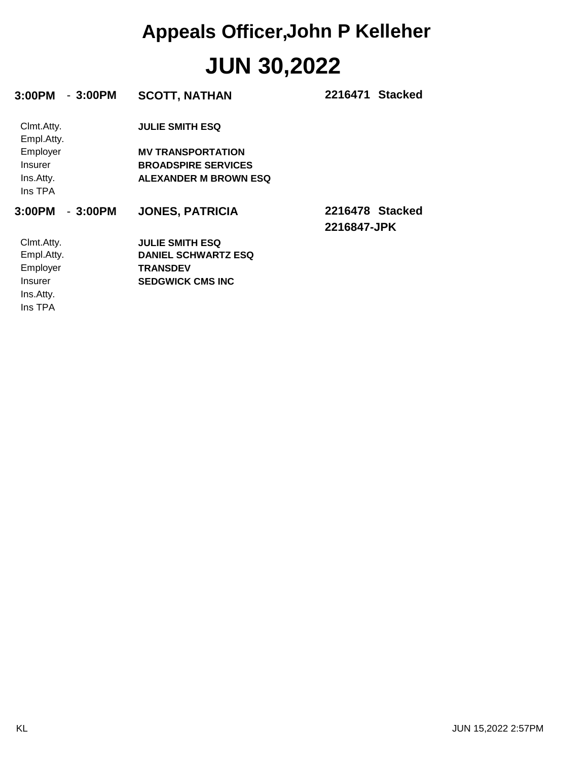| $-3:00PM$<br>3:00PM      | <b>SCOTT, NATHAN</b>         | 2216471 Stacked                |
|--------------------------|------------------------------|--------------------------------|
| Clmt.Atty.<br>Empl.Atty. | <b>JULIE SMITH ESQ</b>       |                                |
| Employer                 | <b>MV TRANSPORTATION</b>     |                                |
| <b>Insurer</b>           | <b>BROADSPIRE SERVICES</b>   |                                |
| Ins.Atty.<br>Ins TPA     | <b>ALEXANDER M BROWN ESQ</b> |                                |
| $-3:00PM$<br>3:00PM      | <b>JONES, PATRICIA</b>       | 2216478 Stacked<br>2216847-JPK |
| Clmt.Atty.               | <b>JULIE SMITH ESQ</b>       |                                |
| Empl.Atty.               | <b>DANIEL SCHWARTZ ESQ</b>   |                                |
| Employer                 | <b>TRANSDEV</b>              |                                |
| <b>Insurer</b>           | <b>SEDGWICK CMS INC</b>      |                                |
| Ins.Atty.                |                              |                                |
| Ins TPA                  |                              |                                |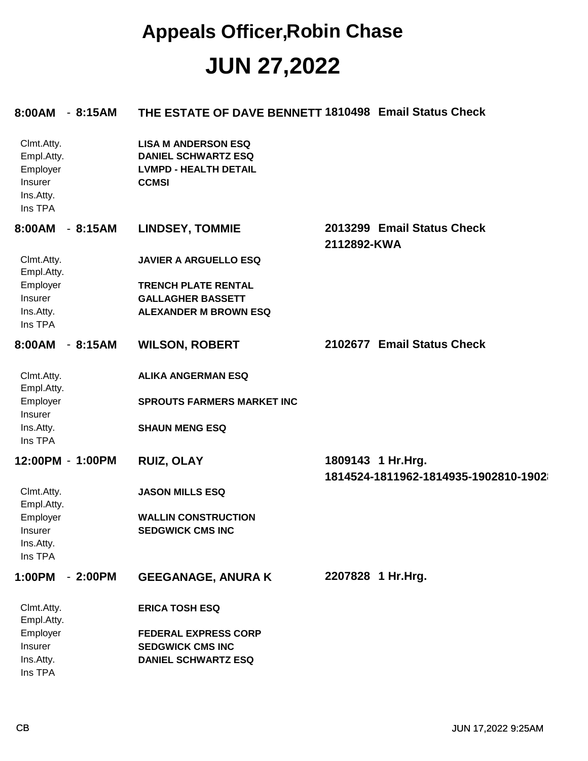#### **JUN 27,2022 Appeals Officer,Robin Chase**

| 8:00AM - 8:15AM                                                         |           | THE ESTATE OF DAVE BENNETT 1810498 Email Status Check                                                    |                                                           |
|-------------------------------------------------------------------------|-----------|----------------------------------------------------------------------------------------------------------|-----------------------------------------------------------|
| Clmt.Atty.<br>Empl.Atty.<br>Employer<br>Insurer<br>Ins.Atty.<br>Ins TPA |           | <b>LISA M ANDERSON ESQ</b><br><b>DANIEL SCHWARTZ ESQ</b><br><b>LVMPD - HEALTH DETAIL</b><br><b>CCMSI</b> |                                                           |
| 8:00AM                                                                  | $-8:15AM$ | <b>LINDSEY, TOMMIE</b>                                                                                   | 2013299 Email Status Check<br>2112892-KWA                 |
| Clmt.Atty.<br>Empl.Atty.                                                |           | <b>JAVIER A ARGUELLO ESQ</b>                                                                             |                                                           |
| Employer                                                                |           | <b>TRENCH PLATE RENTAL</b>                                                                               |                                                           |
| Insurer                                                                 |           | <b>GALLAGHER BASSETT</b>                                                                                 |                                                           |
| Ins.Atty.                                                               |           | <b>ALEXANDER M BROWN ESQ</b>                                                                             |                                                           |
| Ins TPA                                                                 |           |                                                                                                          |                                                           |
| 8:00AM - 8:15AM                                                         |           | <b>WILSON, ROBERT</b>                                                                                    | 2102677 Email Status Check                                |
| Clmt.Atty.<br>Empl.Atty.                                                |           | <b>ALIKA ANGERMAN ESQ</b>                                                                                |                                                           |
| Employer<br>Insurer                                                     |           | <b>SPROUTS FARMERS MARKET INC</b>                                                                        |                                                           |
| Ins.Atty.<br>Ins TPA                                                    |           | <b>SHAUN MENG ESQ</b>                                                                                    |                                                           |
| 12:00PM - 1:00PM                                                        |           | <b>RUIZ, OLAY</b>                                                                                        | 1809143 1 Hr.Hrg.<br>1814524-1811962-1814935-1902810-1902 |
| Clmt.Atty.<br>Empl.Atty.                                                |           | <b>JASON MILLS ESQ</b>                                                                                   |                                                           |
| Employer                                                                |           | <b>WALLIN CONSTRUCTION</b>                                                                               |                                                           |
| Insurer                                                                 |           | <b>SEDGWICK CMS INC</b>                                                                                  |                                                           |
| Ins.Atty.                                                               |           |                                                                                                          |                                                           |
| Ins TPA                                                                 |           |                                                                                                          |                                                           |
| 1:00PM                                                                  | $-2:00PM$ | <b>GEEGANAGE, ANURA K</b>                                                                                | 2207828 1 Hr.Hrg.                                         |
| Clmt.Atty.<br>Empl.Atty.                                                |           | <b>ERICA TOSH ESQ</b>                                                                                    |                                                           |
| Employer                                                                |           | <b>FEDERAL EXPRESS CORP</b>                                                                              |                                                           |
| Insurer                                                                 |           | <b>SEDGWICK CMS INC</b>                                                                                  |                                                           |
| Ins.Atty.                                                               |           | <b>DANIEL SCHWARTZ ESQ</b>                                                                               |                                                           |
| Ins TPA                                                                 |           |                                                                                                          |                                                           |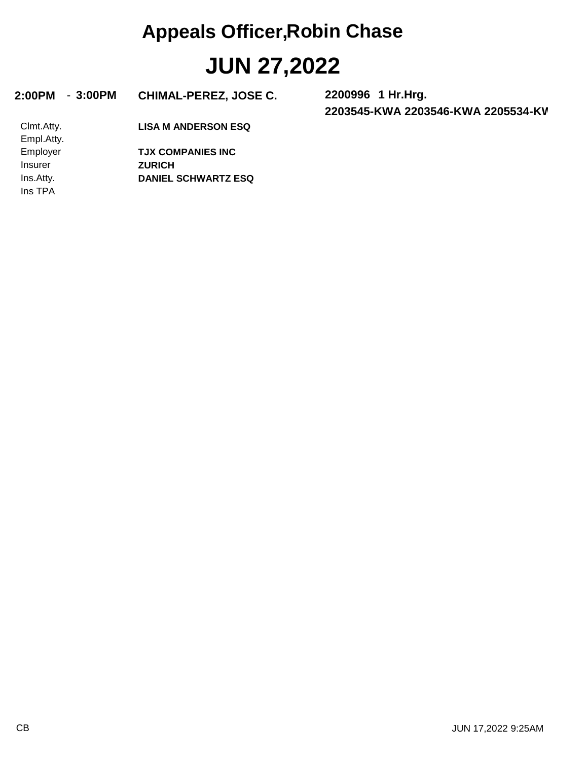### **JUN 27,2022 Appeals Officer,Robin Chase**

#### **2:00PM** - **3:00PM CHIMAL-PEREZ, JOSE C. 2200996**

**2203545-KWA 2203546-KWA 2205534-KWA 2205535-KWA 1 Hr.Hrg.**

**LISA M ANDERSON ESQ**

Ins TPA Ins.Atty. Insurer Employer Empl.Atty. Clmt.Atty.

**DANIEL SCHWARTZ ESQ ZURICH TJX COMPANIES INC**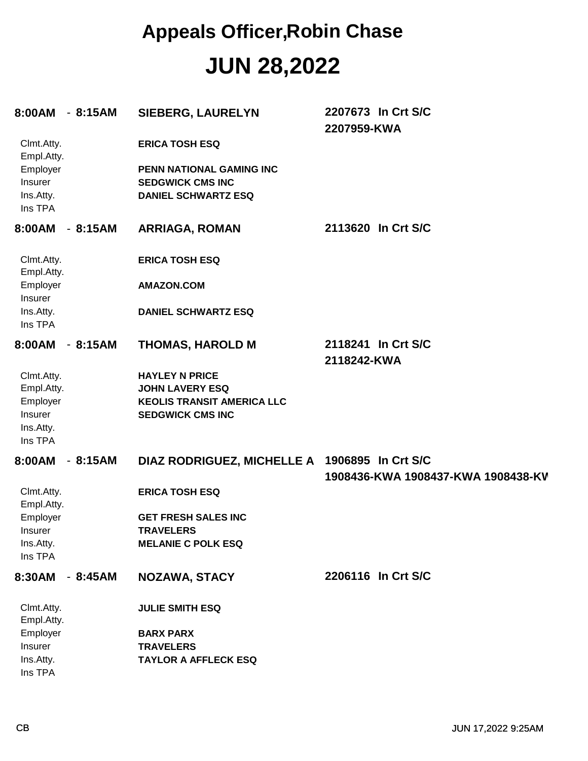### **JUN 28,2022 Appeals Officer,Robin Chase**

| 8:00AM - 8:15AM                                                         |           | <b>SIEBERG, LAURELYN</b>                                                                                        | 2207673 In Crt S/C<br>2207959-KWA                        |
|-------------------------------------------------------------------------|-----------|-----------------------------------------------------------------------------------------------------------------|----------------------------------------------------------|
| Clmt.Atty.<br>Empl.Atty.                                                |           | <b>ERICA TOSH ESQ</b>                                                                                           |                                                          |
| Employer<br>Insurer<br>Ins.Atty.                                        |           | PENN NATIONAL GAMING INC<br><b>SEDGWICK CMS INC</b><br><b>DANIEL SCHWARTZ ESQ</b>                               |                                                          |
| Ins TPA<br>8:00AM - 8:15AM                                              |           | <b>ARRIAGA, ROMAN</b>                                                                                           | 2113620 In Crt S/C                                       |
|                                                                         |           |                                                                                                                 |                                                          |
| Clmt.Atty.<br>Empl.Atty.                                                |           | <b>ERICA TOSH ESQ</b>                                                                                           |                                                          |
| Employer<br>Insurer                                                     |           | <b>AMAZON.COM</b>                                                                                               |                                                          |
| Ins.Atty.<br>Ins TPA                                                    |           | <b>DANIEL SCHWARTZ ESQ</b>                                                                                      |                                                          |
| 8:00AM - 8:15AM                                                         |           | <b>THOMAS, HAROLD M</b>                                                                                         | 2118241 In Crt S/C<br>2118242-KWA                        |
| Clmt.Atty.<br>Empl.Atty.<br>Employer<br>Insurer<br>Ins.Atty.<br>Ins TPA |           | <b>HAYLEY N PRICE</b><br><b>JOHN LAVERY ESQ</b><br><b>KEOLIS TRANSIT AMERICA LLC</b><br><b>SEDGWICK CMS INC</b> |                                                          |
| 8:00AM                                                                  | $-8:15AM$ | <b>DIAZ RODRIGUEZ, MICHELLE A</b>                                                                               | 1906895 In Crt S/C<br>1908436-KWA 1908437-KWA 1908438-KV |
| Clmt.Atty.<br>Empl.Atty.                                                |           | <b>ERICA TOSH ESQ</b>                                                                                           |                                                          |
| Employer<br>Insurer                                                     |           | <b>GET FRESH SALES INC</b><br><b>TRAVELERS</b>                                                                  |                                                          |
| Ins.Atty.<br>Ins TPA                                                    |           | <b>MELANIE C POLK ESQ</b>                                                                                       |                                                          |
| 8:30AM - 8:45AM                                                         |           | NOZAWA, STACY                                                                                                   | 2206116 In Crt S/C                                       |
| Clmt.Atty.<br>Empl.Atty.                                                |           | <b>JULIE SMITH ESQ</b>                                                                                          |                                                          |
| Employer<br>Insurer                                                     |           | <b>BARX PARX</b><br><b>TRAVELERS</b>                                                                            |                                                          |
| Ins.Atty.<br>Ins TPA                                                    |           | <b>TAYLOR A AFFLECK ESQ</b>                                                                                     |                                                          |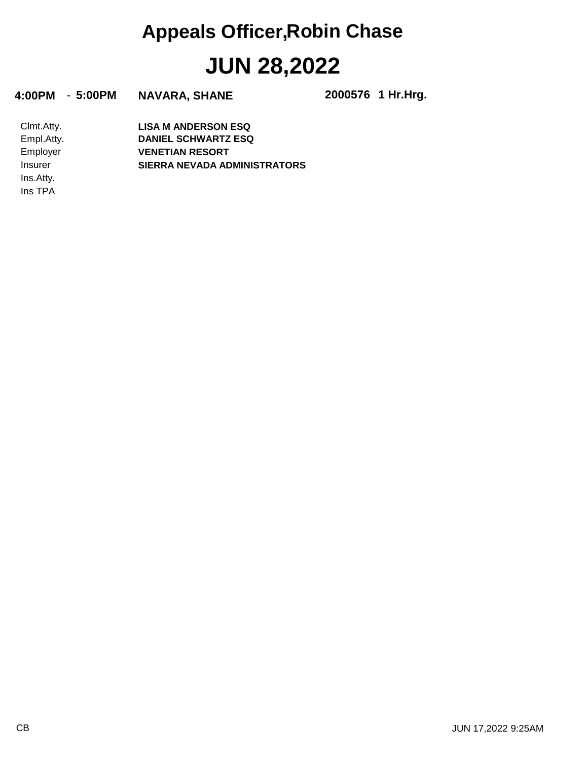# **JUN 28,2022 Appeals Officer,Robin Chase**

**4:00PM** - **5:00PM NAVARA, SHANE 2000576**

**1 Hr.Hrg.**

Ins TPA Ins.Atty. Insurer Employer Empl.Atty. Clmt.Atty. **SIERRA NEVADA ADMINISTRATORS VENETIAN RESORT DANIEL SCHWARTZ ESQ LISA M ANDERSON ESQ**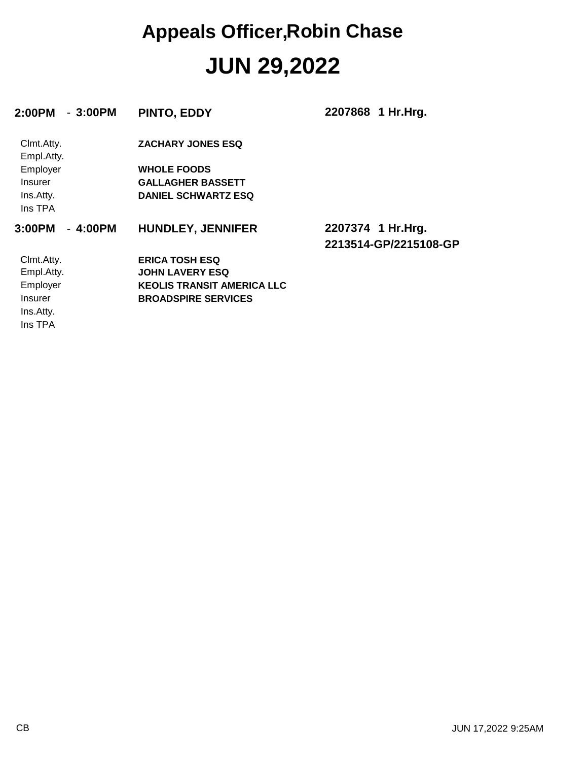### **JUN 29,2022 Appeals Officer,Robin Chase**

| 2:00PM<br>$-3:00PM$      | PINTO, EDDY                       | 2207868 1 Hr.Hrg.                           |
|--------------------------|-----------------------------------|---------------------------------------------|
| Clmt.Atty.<br>Empl.Atty. | <b>ZACHARY JONES ESQ</b>          |                                             |
| Employer                 | <b>WHOLE FOODS</b>                |                                             |
| Insurer                  | <b>GALLAGHER BASSETT</b>          |                                             |
| Ins.Atty.<br>Ins TPA     | <b>DANIEL SCHWARTZ ESQ</b>        |                                             |
| $-4:00PM$<br>3:00PM      | <b>HUNDLEY, JENNIFER</b>          | 2207374 1 Hr. Hrg.<br>2213514-GP/2215108-GP |
| Clmt.Atty.               | <b>ERICA TOSH ESQ</b>             |                                             |
| Empl.Atty.               | <b>JOHN LAVERY ESQ</b>            |                                             |
| Employer                 | <b>KEOLIS TRANSIT AMERICA LLC</b> |                                             |
| Insurer                  | <b>BROADSPIRE SERVICES</b>        |                                             |
| Ins.Atty.                |                                   |                                             |
| Ins TPA                  |                                   |                                             |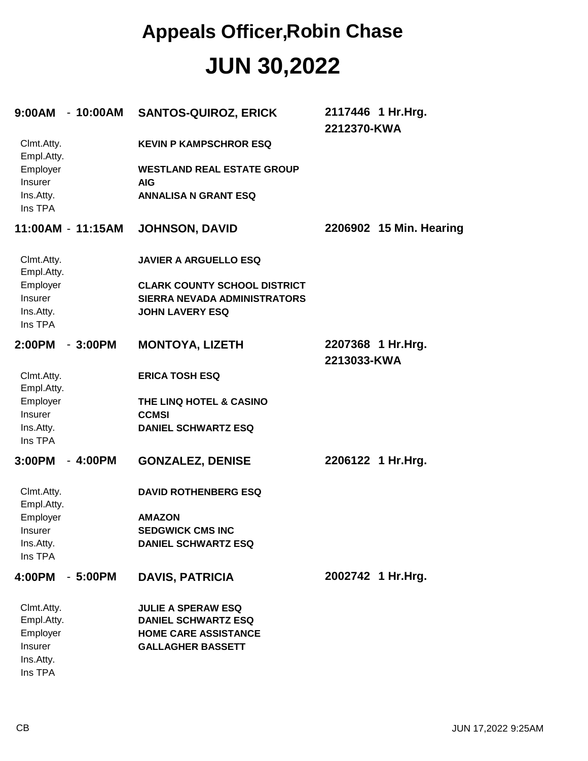#### **JUN 30,2022 Appeals Officer,Robin Chase**

| 9:00AM - 10:00AM         |           | <b>SANTOS-QUIROZ, ERICK</b>                     | 2117446 1 Hr.Hrg.<br>2212370-KWA |
|--------------------------|-----------|-------------------------------------------------|----------------------------------|
| Clmt.Atty.<br>Empl.Atty. |           | <b>KEVIN P KAMPSCHROR ESQ</b>                   |                                  |
| Employer<br>Insurer      |           | <b>WESTLAND REAL ESTATE GROUP</b><br><b>AIG</b> |                                  |
| Ins.Atty.<br>Ins TPA     |           | <b>ANNALISA N GRANT ESQ</b>                     |                                  |
| 11:00AM - 11:15AM        |           | <b>JOHNSON, DAVID</b>                           | 2206902 15 Min. Hearing          |
| Clmt.Atty.<br>Empl.Atty. |           | <b>JAVIER A ARGUELLO ESQ</b>                    |                                  |
| Employer                 |           | <b>CLARK COUNTY SCHOOL DISTRICT</b>             |                                  |
| Insurer                  |           | <b>SIERRA NEVADA ADMINISTRATORS</b>             |                                  |
| Ins.Atty.<br>Ins TPA     |           | <b>JOHN LAVERY ESQ</b>                          |                                  |
| 2:00PM                   | $-3:00PM$ | <b>MONTOYA, LIZETH</b>                          | 2207368 1 Hr.Hrg.<br>2213033-KWA |
| Clmt.Atty.<br>Empl.Atty. |           | <b>ERICA TOSH ESQ</b>                           |                                  |
| Employer                 |           | THE LINQ HOTEL & CASINO                         |                                  |
| Insurer                  |           | <b>CCMSI</b>                                    |                                  |
| Ins.Atty.<br>Ins TPA     |           | <b>DANIEL SCHWARTZ ESQ</b>                      |                                  |
| 3:00PM                   | $-4:00PM$ | <b>GONZALEZ, DENISE</b>                         | 2206122 1 Hr.Hrg.                |
| Clmt.Atty.<br>Empl.Atty. |           | <b>DAVID ROTHENBERG ESQ</b>                     |                                  |
| Employer                 |           | <b>AMAZON</b>                                   |                                  |
| <b>Insurer</b>           |           | <b>SEDGWICK CMS INC</b>                         |                                  |
| Ins.Atty.<br>Ins TPA     |           | <b>DANIEL SCHWARTZ ESQ</b>                      |                                  |
| 4:00PM                   | $-5:00PM$ | <b>DAVIS, PATRICIA</b>                          | 2002742 1 Hr.Hrg.                |
| Clmt.Atty.               |           | <b>JULIE A SPERAW ESQ</b>                       |                                  |
| Empl.Atty.               |           | <b>DANIEL SCHWARTZ ESQ</b>                      |                                  |
| Employer                 |           | <b>HOME CARE ASSISTANCE</b>                     |                                  |
| Insurer<br>Ins.Atty.     |           | <b>GALLAGHER BASSETT</b>                        |                                  |
| Ins TPA                  |           |                                                 |                                  |